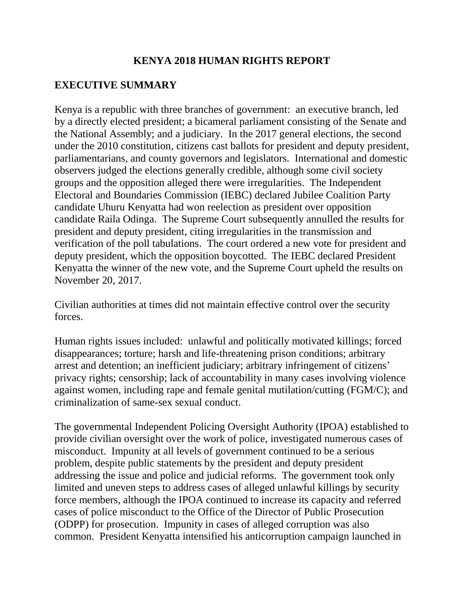## **KENYA 2018 HUMAN RIGHTS REPORT**

## **EXECUTIVE SUMMARY**

Kenya is a republic with three branches of government: an executive branch, led by a directly elected president; a bicameral parliament consisting of the Senate and the National Assembly; and a judiciary. In the 2017 general elections, the second under the 2010 constitution, citizens cast ballots for president and deputy president, parliamentarians, and county governors and legislators. International and domestic observers judged the elections generally credible, although some civil society groups and the opposition alleged there were irregularities. The Independent Electoral and Boundaries Commission (IEBC) declared Jubilee Coalition Party candidate Uhuru Kenyatta had won reelection as president over opposition candidate Raila Odinga. The Supreme Court subsequently annulled the results for president and deputy president, citing irregularities in the transmission and verification of the poll tabulations. The court ordered a new vote for president and deputy president, which the opposition boycotted. The IEBC declared President Kenyatta the winner of the new vote, and the Supreme Court upheld the results on November 20, 2017.

Civilian authorities at times did not maintain effective control over the security forces.

Human rights issues included: unlawful and politically motivated killings; forced disappearances; torture; harsh and life-threatening prison conditions; arbitrary arrest and detention; an inefficient judiciary; arbitrary infringement of citizens' privacy rights; censorship; lack of accountability in many cases involving violence against women, including rape and female genital mutilation/cutting (FGM/C); and criminalization of same-sex sexual conduct.

The governmental Independent Policing Oversight Authority (IPOA) established to provide civilian oversight over the work of police, investigated numerous cases of misconduct. Impunity at all levels of government continued to be a serious problem, despite public statements by the president and deputy president addressing the issue and police and judicial reforms. The government took only limited and uneven steps to address cases of alleged unlawful killings by security force members, although the IPOA continued to increase its capacity and referred cases of police misconduct to the Office of the Director of Public Prosecution (ODPP) for prosecution. Impunity in cases of alleged corruption was also common. President Kenyatta intensified his anticorruption campaign launched in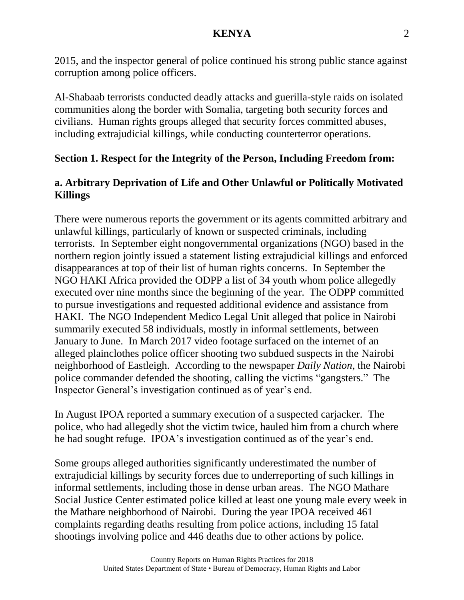2015, and the inspector general of police continued his strong public stance against corruption among police officers.

Al-Shabaab terrorists conducted deadly attacks and guerilla-style raids on isolated communities along the border with Somalia, targeting both security forces and civilians. Human rights groups alleged that security forces committed abuses, including extrajudicial killings, while conducting counterterror operations.

# **Section 1. Respect for the Integrity of the Person, Including Freedom from:**

# **a. Arbitrary Deprivation of Life and Other Unlawful or Politically Motivated Killings**

There were numerous reports the government or its agents committed arbitrary and unlawful killings, particularly of known or suspected criminals, including terrorists. In September eight nongovernmental organizations (NGO) based in the northern region jointly issued a statement listing extrajudicial killings and enforced disappearances at top of their list of human rights concerns. In September the NGO HAKI Africa provided the ODPP a list of 34 youth whom police allegedly executed over nine months since the beginning of the year. The ODPP committed to pursue investigations and requested additional evidence and assistance from HAKI. The NGO Independent Medico Legal Unit alleged that police in Nairobi summarily executed 58 individuals, mostly in informal settlements, between January to June. In March 2017 video footage surfaced on the internet of an alleged plainclothes police officer shooting two subdued suspects in the Nairobi neighborhood of Eastleigh. According to the newspaper *Daily Nation*, the Nairobi police commander defended the shooting, calling the victims "gangsters." The Inspector General's investigation continued as of year's end.

In August IPOA reported a summary execution of a suspected carjacker. The police, who had allegedly shot the victim twice, hauled him from a church where he had sought refuge. IPOA's investigation continued as of the year's end.

Some groups alleged authorities significantly underestimated the number of extrajudicial killings by security forces due to underreporting of such killings in informal settlements, including those in dense urban areas. The NGO Mathare Social Justice Center estimated police killed at least one young male every week in the Mathare neighborhood of Nairobi. During the year IPOA received 461 complaints regarding deaths resulting from police actions, including 15 fatal shootings involving police and 446 deaths due to other actions by police.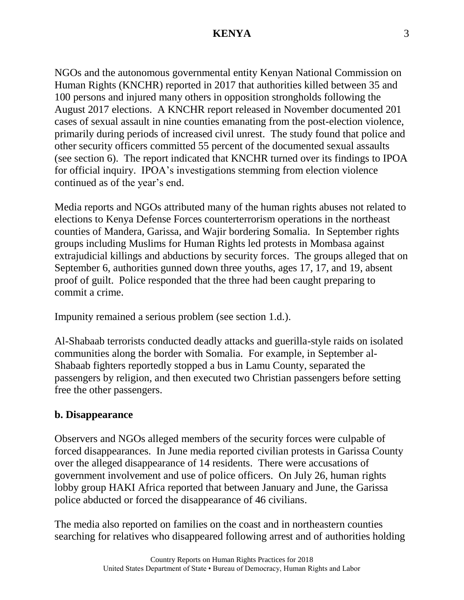NGOs and the autonomous governmental entity Kenyan National Commission on Human Rights (KNCHR) reported in 2017 that authorities killed between 35 and 100 persons and injured many others in opposition strongholds following the August 2017 elections. A KNCHR report released in November documented 201 cases of sexual assault in nine counties emanating from the post-election violence, primarily during periods of increased civil unrest. The study found that police and other security officers committed 55 percent of the documented sexual assaults (see section 6). The report indicated that KNCHR turned over its findings to IPOA for official inquiry. IPOA's investigations stemming from election violence continued as of the year's end.

Media reports and NGOs attributed many of the human rights abuses not related to elections to Kenya Defense Forces counterterrorism operations in the northeast counties of Mandera, Garissa, and Wajir bordering Somalia. In September rights groups including Muslims for Human Rights led protests in Mombasa against extrajudicial killings and abductions by security forces. The groups alleged that on September 6, authorities gunned down three youths, ages 17, 17, and 19, absent proof of guilt. Police responded that the three had been caught preparing to commit a crime.

Impunity remained a serious problem (see section 1.d.).

Al-Shabaab terrorists conducted deadly attacks and guerilla-style raids on isolated communities along the border with Somalia. For example, in September al-Shabaab fighters reportedly stopped a bus in Lamu County, separated the passengers by religion, and then executed two Christian passengers before setting free the other passengers.

### **b. Disappearance**

Observers and NGOs alleged members of the security forces were culpable of forced disappearances. In June media reported civilian protests in Garissa County over the alleged disappearance of 14 residents. There were accusations of government involvement and use of police officers. On July 26, human rights lobby group HAKI Africa reported that between January and June, the Garissa police abducted or forced the disappearance of 46 civilians.

The media also reported on families on the coast and in northeastern counties searching for relatives who disappeared following arrest and of authorities holding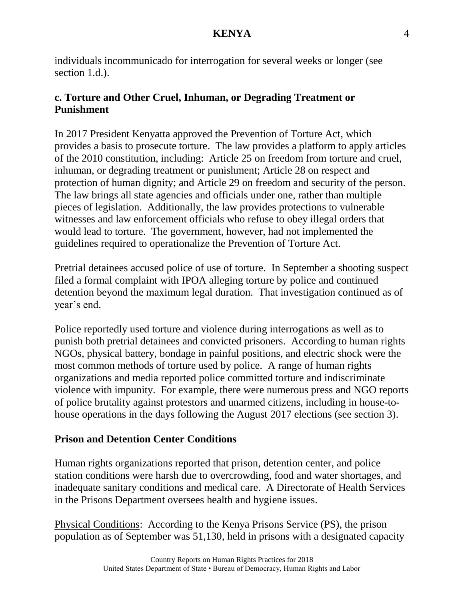individuals incommunicado for interrogation for several weeks or longer (see section 1.d.).

## **c. Torture and Other Cruel, Inhuman, or Degrading Treatment or Punishment**

In 2017 President Kenyatta approved the Prevention of Torture Act, which provides a basis to prosecute torture. The law provides a platform to apply articles of the 2010 constitution, including: Article 25 on freedom from torture and cruel, inhuman, or degrading treatment or punishment; Article 28 on respect and protection of human dignity; and Article 29 on freedom and security of the person. The law brings all state agencies and officials under one, rather than multiple pieces of legislation. Additionally, the law provides protections to vulnerable witnesses and law enforcement officials who refuse to obey illegal orders that would lead to torture. The government, however, had not implemented the guidelines required to operationalize the Prevention of Torture Act.

Pretrial detainees accused police of use of torture. In September a shooting suspect filed a formal complaint with IPOA alleging torture by police and continued detention beyond the maximum legal duration. That investigation continued as of year's end.

Police reportedly used torture and violence during interrogations as well as to punish both pretrial detainees and convicted prisoners. According to human rights NGOs, physical battery, bondage in painful positions, and electric shock were the most common methods of torture used by police. A range of human rights organizations and media reported police committed torture and indiscriminate violence with impunity. For example, there were numerous press and NGO reports of police brutality against protestors and unarmed citizens, including in house-tohouse operations in the days following the August 2017 elections (see section 3).

## **Prison and Detention Center Conditions**

Human rights organizations reported that prison, detention center, and police station conditions were harsh due to overcrowding, food and water shortages, and inadequate sanitary conditions and medical care. A Directorate of Health Services in the Prisons Department oversees health and hygiene issues.

Physical Conditions: According to the Kenya Prisons Service (PS), the prison population as of September was 51,130, held in prisons with a designated capacity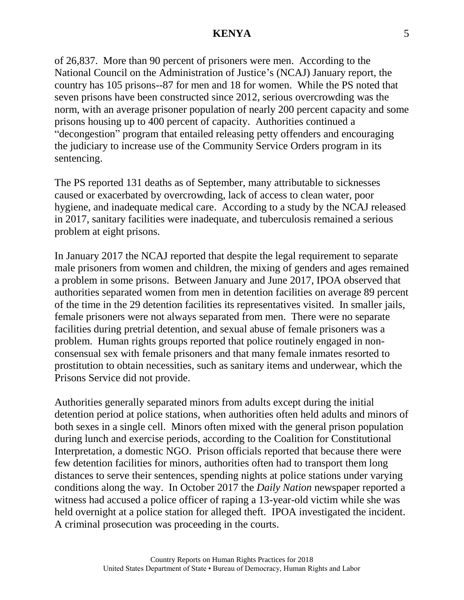of 26,837. More than 90 percent of prisoners were men. According to the National Council on the Administration of Justice's (NCAJ) January report, the country has 105 prisons--87 for men and 18 for women. While the PS noted that seven prisons have been constructed since 2012, serious overcrowding was the norm, with an average prisoner population of nearly 200 percent capacity and some prisons housing up to 400 percent of capacity. Authorities continued a "decongestion" program that entailed releasing petty offenders and encouraging the judiciary to increase use of the Community Service Orders program in its sentencing.

The PS reported 131 deaths as of September, many attributable to sicknesses caused or exacerbated by overcrowding, lack of access to clean water, poor hygiene, and inadequate medical care. According to a study by the NCAJ released in 2017, sanitary facilities were inadequate, and tuberculosis remained a serious problem at eight prisons.

In January 2017 the NCAJ reported that despite the legal requirement to separate male prisoners from women and children, the mixing of genders and ages remained a problem in some prisons. Between January and June 2017, IPOA observed that authorities separated women from men in detention facilities on average 89 percent of the time in the 29 detention facilities its representatives visited. In smaller jails, female prisoners were not always separated from men. There were no separate facilities during pretrial detention, and sexual abuse of female prisoners was a problem. Human rights groups reported that police routinely engaged in nonconsensual sex with female prisoners and that many female inmates resorted to prostitution to obtain necessities, such as sanitary items and underwear, which the Prisons Service did not provide.

Authorities generally separated minors from adults except during the initial detention period at police stations, when authorities often held adults and minors of both sexes in a single cell. Minors often mixed with the general prison population during lunch and exercise periods, according to the Coalition for Constitutional Interpretation, a domestic NGO. Prison officials reported that because there were few detention facilities for minors, authorities often had to transport them long distances to serve their sentences, spending nights at police stations under varying conditions along the way. In October 2017 the *Daily Nation* newspaper reported a witness had accused a police officer of raping a 13-year-old victim while she was held overnight at a police station for alleged theft. IPOA investigated the incident. A criminal prosecution was proceeding in the courts.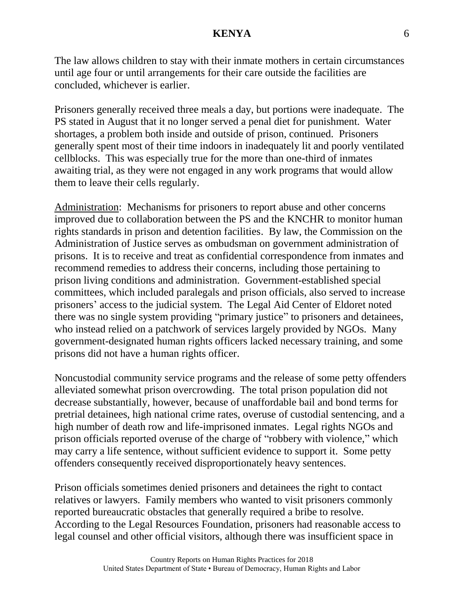The law allows children to stay with their inmate mothers in certain circumstances until age four or until arrangements for their care outside the facilities are concluded, whichever is earlier.

Prisoners generally received three meals a day, but portions were inadequate. The PS stated in August that it no longer served a penal diet for punishment. Water shortages, a problem both inside and outside of prison, continued. Prisoners generally spent most of their time indoors in inadequately lit and poorly ventilated cellblocks. This was especially true for the more than one-third of inmates awaiting trial, as they were not engaged in any work programs that would allow them to leave their cells regularly.

Administration: Mechanisms for prisoners to report abuse and other concerns improved due to collaboration between the PS and the KNCHR to monitor human rights standards in prison and detention facilities. By law, the Commission on the Administration of Justice serves as ombudsman on government administration of prisons. It is to receive and treat as confidential correspondence from inmates and recommend remedies to address their concerns, including those pertaining to prison living conditions and administration. Government-established special committees, which included paralegals and prison officials, also served to increase prisoners' access to the judicial system. The Legal Aid Center of Eldoret noted there was no single system providing "primary justice" to prisoners and detainees, who instead relied on a patchwork of services largely provided by NGOs. Many government-designated human rights officers lacked necessary training, and some prisons did not have a human rights officer.

Noncustodial community service programs and the release of some petty offenders alleviated somewhat prison overcrowding. The total prison population did not decrease substantially, however, because of unaffordable bail and bond terms for pretrial detainees, high national crime rates, overuse of custodial sentencing, and a high number of death row and life-imprisoned inmates. Legal rights NGOs and prison officials reported overuse of the charge of "robbery with violence," which may carry a life sentence, without sufficient evidence to support it. Some petty offenders consequently received disproportionately heavy sentences.

Prison officials sometimes denied prisoners and detainees the right to contact relatives or lawyers. Family members who wanted to visit prisoners commonly reported bureaucratic obstacles that generally required a bribe to resolve. According to the Legal Resources Foundation, prisoners had reasonable access to legal counsel and other official visitors, although there was insufficient space in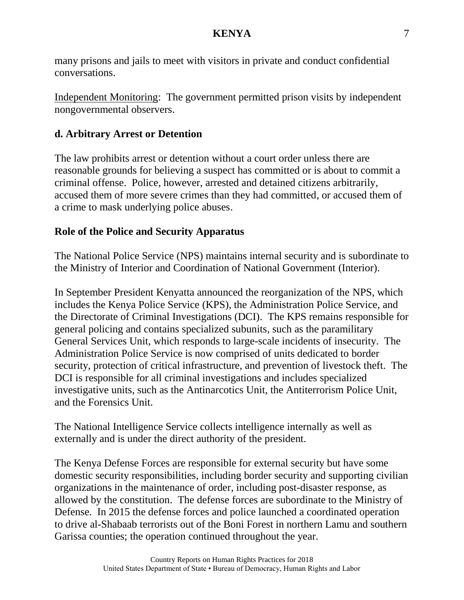many prisons and jails to meet with visitors in private and conduct confidential conversations.

Independent Monitoring: The government permitted prison visits by independent nongovernmental observers.

## **d. Arbitrary Arrest or Detention**

The law prohibits arrest or detention without a court order unless there are reasonable grounds for believing a suspect has committed or is about to commit a criminal offense. Police, however, arrested and detained citizens arbitrarily, accused them of more severe crimes than they had committed, or accused them of a crime to mask underlying police abuses.

# **Role of the Police and Security Apparatus**

The National Police Service (NPS) maintains internal security and is subordinate to the Ministry of Interior and Coordination of National Government (Interior).

In September President Kenyatta announced the reorganization of the NPS, which includes the Kenya Police Service (KPS), the Administration Police Service, and the Directorate of Criminal Investigations (DCI). The KPS remains responsible for general policing and contains specialized subunits, such as the paramilitary General Services Unit, which responds to large-scale incidents of insecurity. The Administration Police Service is now comprised of units dedicated to border security, protection of critical infrastructure, and prevention of livestock theft. The DCI is responsible for all criminal investigations and includes specialized investigative units, such as the Antinarcotics Unit, the Antiterrorism Police Unit, and the Forensics Unit.

The National Intelligence Service collects intelligence internally as well as externally and is under the direct authority of the president.

The Kenya Defense Forces are responsible for external security but have some domestic security responsibilities, including border security and supporting civilian organizations in the maintenance of order, including post-disaster response, as allowed by the constitution. The defense forces are subordinate to the Ministry of Defense. In 2015 the defense forces and police launched a coordinated operation to drive al-Shabaab terrorists out of the Boni Forest in northern Lamu and southern Garissa counties; the operation continued throughout the year.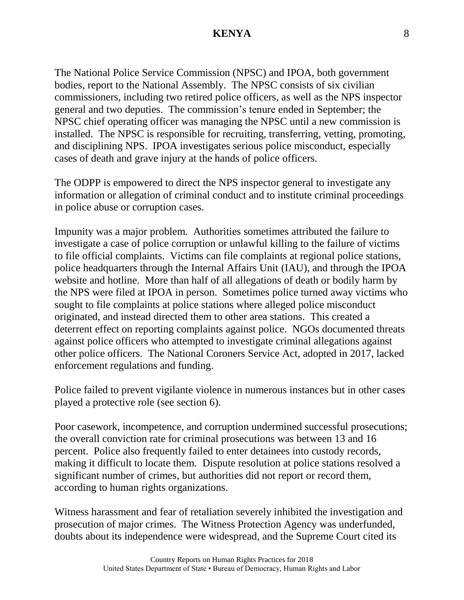The National Police Service Commission (NPSC) and IPOA, both government bodies, report to the National Assembly. The NPSC consists of six civilian commissioners, including two retired police officers, as well as the NPS inspector general and two deputies. The commission's tenure ended in September; the NPSC chief operating officer was managing the NPSC until a new commission is installed. The NPSC is responsible for recruiting, transferring, vetting, promoting, and disciplining NPS. IPOA investigates serious police misconduct, especially cases of death and grave injury at the hands of police officers.

The ODPP is empowered to direct the NPS inspector general to investigate any information or allegation of criminal conduct and to institute criminal proceedings in police abuse or corruption cases.

Impunity was a major problem. Authorities sometimes attributed the failure to investigate a case of police corruption or unlawful killing to the failure of victims to file official complaints. Victims can file complaints at regional police stations, police headquarters through the Internal Affairs Unit (IAU), and through the IPOA website and hotline. More than half of all allegations of death or bodily harm by the NPS were filed at IPOA in person. Sometimes police turned away victims who sought to file complaints at police stations where alleged police misconduct originated, and instead directed them to other area stations. This created a deterrent effect on reporting complaints against police. NGOs documented threats against police officers who attempted to investigate criminal allegations against other police officers. The National Coroners Service Act, adopted in 2017, lacked enforcement regulations and funding.

Police failed to prevent vigilante violence in numerous instances but in other cases played a protective role (see section 6).

Poor casework, incompetence, and corruption undermined successful prosecutions; the overall conviction rate for criminal prosecutions was between 13 and 16 percent. Police also frequently failed to enter detainees into custody records, making it difficult to locate them. Dispute resolution at police stations resolved a significant number of crimes, but authorities did not report or record them, according to human rights organizations.

Witness harassment and fear of retaliation severely inhibited the investigation and prosecution of major crimes. The Witness Protection Agency was underfunded, doubts about its independence were widespread, and the Supreme Court cited its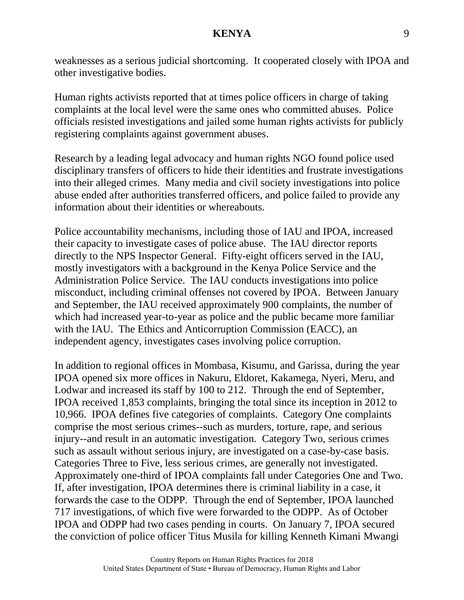weaknesses as a serious judicial shortcoming. It cooperated closely with IPOA and other investigative bodies.

Human rights activists reported that at times police officers in charge of taking complaints at the local level were the same ones who committed abuses. Police officials resisted investigations and jailed some human rights activists for publicly registering complaints against government abuses.

Research by a leading legal advocacy and human rights NGO found police used disciplinary transfers of officers to hide their identities and frustrate investigations into their alleged crimes. Many media and civil society investigations into police abuse ended after authorities transferred officers, and police failed to provide any information about their identities or whereabouts.

Police accountability mechanisms, including those of IAU and IPOA, increased their capacity to investigate cases of police abuse. The IAU director reports directly to the NPS Inspector General. Fifty-eight officers served in the IAU, mostly investigators with a background in the Kenya Police Service and the Administration Police Service. The IAU conducts investigations into police misconduct, including criminal offenses not covered by IPOA. Between January and September, the IAU received approximately 900 complaints, the number of which had increased year-to-year as police and the public became more familiar with the IAU. The Ethics and Anticorruption Commission (EACC), an independent agency, investigates cases involving police corruption.

In addition to regional offices in Mombasa, Kisumu, and Garissa, during the year IPOA opened six more offices in Nakuru, Eldoret, Kakamega, Nyeri, Meru, and Lodwar and increased its staff by 100 to 212. Through the end of September, IPOA received 1,853 complaints, bringing the total since its inception in 2012 to 10,966. IPOA defines five categories of complaints. Category One complaints comprise the most serious crimes--such as murders, torture, rape, and serious injury--and result in an automatic investigation. Category Two, serious crimes such as assault without serious injury, are investigated on a case-by-case basis. Categories Three to Five, less serious crimes, are generally not investigated. Approximately one-third of IPOA complaints fall under Categories One and Two. If, after investigation, IPOA determines there is criminal liability in a case, it forwards the case to the ODPP. Through the end of September, IPOA launched 717 investigations, of which five were forwarded to the ODPP. As of October IPOA and ODPP had two cases pending in courts. On January 7, IPOA secured the conviction of police officer Titus Musila for killing Kenneth Kimani Mwangi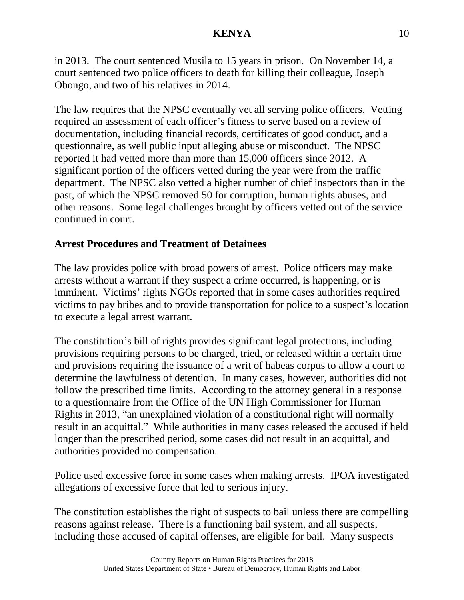in 2013. The court sentenced Musila to 15 years in prison. On November 14, a court sentenced two police officers to death for killing their colleague, Joseph Obongo, and two of his relatives in 2014.

The law requires that the NPSC eventually vet all serving police officers. Vetting required an assessment of each officer's fitness to serve based on a review of documentation, including financial records, certificates of good conduct, and a questionnaire, as well public input alleging abuse or misconduct. The NPSC reported it had vetted more than more than 15,000 officers since 2012. A significant portion of the officers vetted during the year were from the traffic department. The NPSC also vetted a higher number of chief inspectors than in the past, of which the NPSC removed 50 for corruption, human rights abuses, and other reasons. Some legal challenges brought by officers vetted out of the service continued in court.

# **Arrest Procedures and Treatment of Detainees**

The law provides police with broad powers of arrest. Police officers may make arrests without a warrant if they suspect a crime occurred, is happening, or is imminent. Victims' rights NGOs reported that in some cases authorities required victims to pay bribes and to provide transportation for police to a suspect's location to execute a legal arrest warrant.

The constitution's bill of rights provides significant legal protections, including provisions requiring persons to be charged, tried, or released within a certain time and provisions requiring the issuance of a writ of habeas corpus to allow a court to determine the lawfulness of detention. In many cases, however, authorities did not follow the prescribed time limits. According to the attorney general in a response to a questionnaire from the Office of the UN High Commissioner for Human Rights in 2013, "an unexplained violation of a constitutional right will normally result in an acquittal." While authorities in many cases released the accused if held longer than the prescribed period, some cases did not result in an acquittal, and authorities provided no compensation.

Police used excessive force in some cases when making arrests. IPOA investigated allegations of excessive force that led to serious injury.

The constitution establishes the right of suspects to bail unless there are compelling reasons against release. There is a functioning bail system, and all suspects, including those accused of capital offenses, are eligible for bail. Many suspects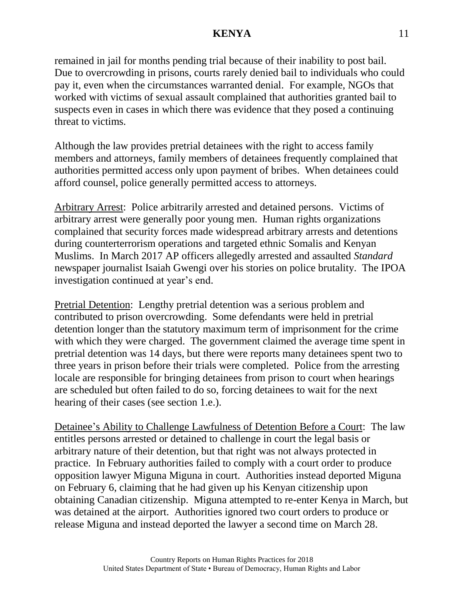remained in jail for months pending trial because of their inability to post bail. Due to overcrowding in prisons, courts rarely denied bail to individuals who could pay it, even when the circumstances warranted denial. For example, NGOs that worked with victims of sexual assault complained that authorities granted bail to suspects even in cases in which there was evidence that they posed a continuing threat to victims.

Although the law provides pretrial detainees with the right to access family members and attorneys, family members of detainees frequently complained that authorities permitted access only upon payment of bribes. When detainees could afford counsel, police generally permitted access to attorneys.

Arbitrary Arrest: Police arbitrarily arrested and detained persons. Victims of arbitrary arrest were generally poor young men. Human rights organizations complained that security forces made widespread arbitrary arrests and detentions during counterterrorism operations and targeted ethnic Somalis and Kenyan Muslims. In March 2017 AP officers allegedly arrested and assaulted *Standard*  newspaper journalist Isaiah Gwengi over his stories on police brutality. The IPOA investigation continued at year's end.

Pretrial Detention: Lengthy pretrial detention was a serious problem and contributed to prison overcrowding. Some defendants were held in pretrial detention longer than the statutory maximum term of imprisonment for the crime with which they were charged. The government claimed the average time spent in pretrial detention was 14 days, but there were reports many detainees spent two to three years in prison before their trials were completed. Police from the arresting locale are responsible for bringing detainees from prison to court when hearings are scheduled but often failed to do so, forcing detainees to wait for the next hearing of their cases (see section 1.e.).

Detainee's Ability to Challenge Lawfulness of Detention Before a Court: The law entitles persons arrested or detained to challenge in court the legal basis or arbitrary nature of their detention, but that right was not always protected in practice. In February authorities failed to comply with a court order to produce opposition lawyer Miguna Miguna in court. Authorities instead deported Miguna on February 6, claiming that he had given up his Kenyan citizenship upon obtaining Canadian citizenship. Miguna attempted to re-enter Kenya in March, but was detained at the airport. Authorities ignored two court orders to produce or release Miguna and instead deported the lawyer a second time on March 28.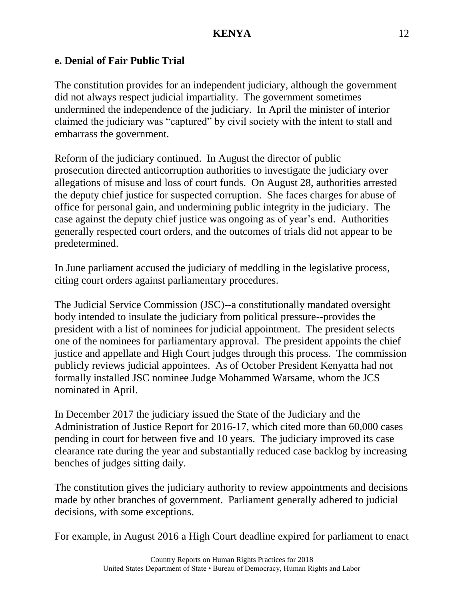## **e. Denial of Fair Public Trial**

The constitution provides for an independent judiciary, although the government did not always respect judicial impartiality. The government sometimes undermined the independence of the judiciary. In April the minister of interior claimed the judiciary was "captured" by civil society with the intent to stall and embarrass the government.

Reform of the judiciary continued. In August the director of public prosecution directed anticorruption authorities to investigate the judiciary over allegations of misuse and loss of court funds. On August 28, authorities arrested the deputy chief justice for suspected corruption. She faces charges for abuse of office for personal gain, and undermining public integrity in the judiciary. The case against the deputy chief justice was ongoing as of year's end. Authorities generally respected court orders, and the outcomes of trials did not appear to be predetermined.

In June parliament accused the judiciary of meddling in the legislative process, citing court orders against parliamentary procedures.

The Judicial Service Commission (JSC)--a constitutionally mandated oversight body intended to insulate the judiciary from political pressure--provides the president with a list of nominees for judicial appointment. The president selects one of the nominees for parliamentary approval. The president appoints the chief justice and appellate and High Court judges through this process. The commission publicly reviews judicial appointees. As of October President Kenyatta had not formally installed JSC nominee Judge Mohammed Warsame, whom the JCS nominated in April.

In December 2017 the judiciary issued the State of the Judiciary and the Administration of Justice Report for 2016-17, which cited more than 60,000 cases pending in court for between five and 10 years. The judiciary improved its case clearance rate during the year and substantially reduced case backlog by increasing benches of judges sitting daily.

The constitution gives the judiciary authority to review appointments and decisions made by other branches of government. Parliament generally adhered to judicial decisions, with some exceptions.

For example, in August 2016 a High Court deadline expired for parliament to enact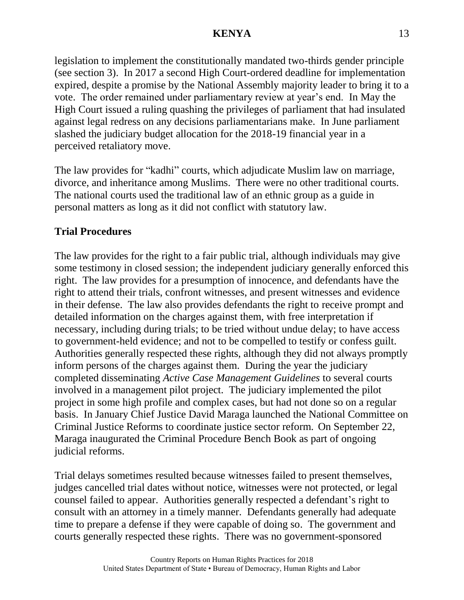legislation to implement the constitutionally mandated two-thirds gender principle (see section 3). In 2017 a second High Court-ordered deadline for implementation expired, despite a promise by the National Assembly majority leader to bring it to a vote. The order remained under parliamentary review at year's end. In May the High Court issued a ruling quashing the privileges of parliament that had insulated against legal redress on any decisions parliamentarians make. In June parliament slashed the judiciary budget allocation for the 2018-19 financial year in a perceived retaliatory move.

The law provides for "kadhi" courts, which adjudicate Muslim law on marriage, divorce, and inheritance among Muslims. There were no other traditional courts. The national courts used the traditional law of an ethnic group as a guide in personal matters as long as it did not conflict with statutory law.

# **Trial Procedures**

The law provides for the right to a fair public trial, although individuals may give some testimony in closed session; the independent judiciary generally enforced this right. The law provides for a presumption of innocence, and defendants have the right to attend their trials, confront witnesses, and present witnesses and evidence in their defense. The law also provides defendants the right to receive prompt and detailed information on the charges against them, with free interpretation if necessary, including during trials; to be tried without undue delay; to have access to government-held evidence; and not to be compelled to testify or confess guilt. Authorities generally respected these rights, although they did not always promptly inform persons of the charges against them. During the year the judiciary completed disseminating *Active Case Management Guidelines* to several courts involved in a management pilot project. The judiciary implemented the pilot project in some high profile and complex cases, but had not done so on a regular basis. In January Chief Justice David Maraga launched the National Committee on Criminal Justice Reforms to coordinate justice sector reform. On September 22, Maraga inaugurated the Criminal Procedure Bench Book as part of ongoing judicial reforms.

Trial delays sometimes resulted because witnesses failed to present themselves, judges cancelled trial dates without notice, witnesses were not protected, or legal counsel failed to appear. Authorities generally respected a defendant's right to consult with an attorney in a timely manner. Defendants generally had adequate time to prepare a defense if they were capable of doing so. The government and courts generally respected these rights. There was no government-sponsored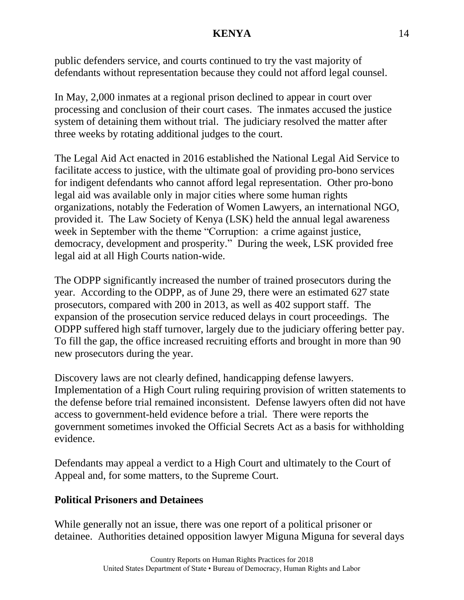public defenders service, and courts continued to try the vast majority of defendants without representation because they could not afford legal counsel.

In May, 2,000 inmates at a regional prison declined to appear in court over processing and conclusion of their court cases. The inmates accused the justice system of detaining them without trial. The judiciary resolved the matter after three weeks by rotating additional judges to the court.

The Legal Aid Act enacted in 2016 established the National Legal Aid Service to facilitate access to justice, with the ultimate goal of providing pro-bono services for indigent defendants who cannot afford legal representation. Other pro-bono legal aid was available only in major cities where some human rights organizations, notably the Federation of Women Lawyers, an international NGO, provided it. The Law Society of Kenya (LSK) held the annual legal awareness week in September with the theme "Corruption: a crime against justice, democracy, development and prosperity." During the week, LSK provided free legal aid at all High Courts nation-wide.

The ODPP significantly increased the number of trained prosecutors during the year. According to the ODPP, as of June 29, there were an estimated 627 state prosecutors, compared with 200 in 2013, as well as 402 support staff. The expansion of the prosecution service reduced delays in court proceedings. The ODPP suffered high staff turnover, largely due to the judiciary offering better pay. To fill the gap, the office increased recruiting efforts and brought in more than 90 new prosecutors during the year.

Discovery laws are not clearly defined, handicapping defense lawyers. Implementation of a High Court ruling requiring provision of written statements to the defense before trial remained inconsistent. Defense lawyers often did not have access to government-held evidence before a trial. There were reports the government sometimes invoked the Official Secrets Act as a basis for withholding evidence.

Defendants may appeal a verdict to a High Court and ultimately to the Court of Appeal and, for some matters, to the Supreme Court.

## **Political Prisoners and Detainees**

While generally not an issue, there was one report of a political prisoner or detainee. Authorities detained opposition lawyer Miguna Miguna for several days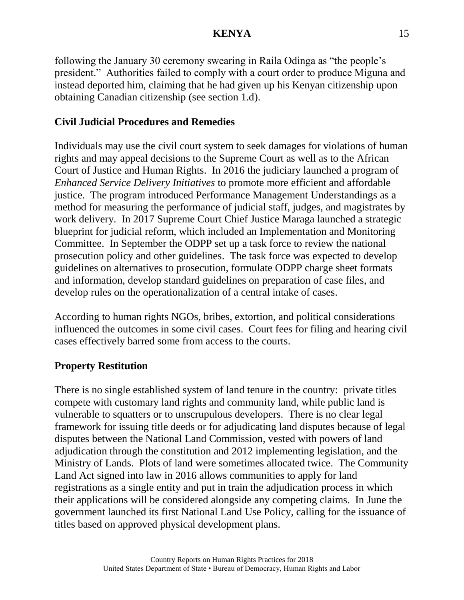following the January 30 ceremony swearing in Raila Odinga as "the people's president." Authorities failed to comply with a court order to produce Miguna and instead deported him, claiming that he had given up his Kenyan citizenship upon obtaining Canadian citizenship (see section 1.d).

## **Civil Judicial Procedures and Remedies**

Individuals may use the civil court system to seek damages for violations of human rights and may appeal decisions to the Supreme Court as well as to the African Court of Justice and Human Rights. In 2016 the judiciary launched a program of *Enhanced Service Delivery Initiatives* to promote more efficient and affordable justice. The program introduced Performance Management Understandings as a method for measuring the performance of judicial staff, judges, and magistrates by work delivery. In 2017 Supreme Court Chief Justice Maraga launched a strategic blueprint for judicial reform, which included an Implementation and Monitoring Committee. In September the ODPP set up a task force to review the national prosecution policy and other guidelines. The task force was expected to develop guidelines on alternatives to prosecution, formulate ODPP charge sheet formats and information, develop standard guidelines on preparation of case files, and develop rules on the operationalization of a central intake of cases.

According to human rights NGOs, bribes, extortion, and political considerations influenced the outcomes in some civil cases. Court fees for filing and hearing civil cases effectively barred some from access to the courts.

## **Property Restitution**

There is no single established system of land tenure in the country: private titles compete with customary land rights and community land, while public land is vulnerable to squatters or to unscrupulous developers. There is no clear legal framework for issuing title deeds or for adjudicating land disputes because of legal disputes between the National Land Commission, vested with powers of land adjudication through the constitution and 2012 implementing legislation, and the Ministry of Lands. Plots of land were sometimes allocated twice. The Community Land Act signed into law in 2016 allows communities to apply for land registrations as a single entity and put in train the adjudication process in which their applications will be considered alongside any competing claims. In June the government launched its first National Land Use Policy, calling for the issuance of titles based on approved physical development plans.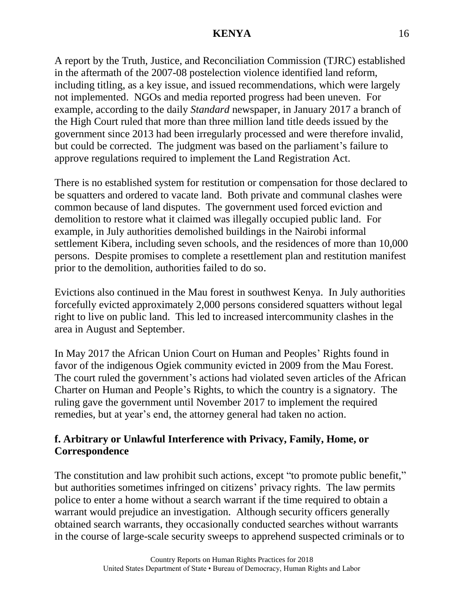A report by the Truth, Justice, and Reconciliation Commission (TJRC) established in the aftermath of the 2007-08 postelection violence identified land reform, including titling, as a key issue, and issued recommendations, which were largely not implemented. NGOs and media reported progress had been uneven. For example, according to the daily *Standard* newspaper, in January 2017 a branch of the High Court ruled that more than three million land title deeds issued by the government since 2013 had been irregularly processed and were therefore invalid, but could be corrected. The judgment was based on the parliament's failure to approve regulations required to implement the Land Registration Act.

There is no established system for restitution or compensation for those declared to be squatters and ordered to vacate land. Both private and communal clashes were common because of land disputes. The government used forced eviction and demolition to restore what it claimed was illegally occupied public land. For example, in July authorities demolished buildings in the Nairobi informal settlement Kibera, including seven schools, and the residences of more than 10,000 persons. Despite promises to complete a resettlement plan and restitution manifest prior to the demolition, authorities failed to do so.

Evictions also continued in the Mau forest in southwest Kenya. In July authorities forcefully evicted approximately 2,000 persons considered squatters without legal right to live on public land. This led to increased intercommunity clashes in the area in August and September.

In May 2017 the African Union Court on Human and Peoples' Rights found in favor of the indigenous Ogiek community evicted in 2009 from the Mau Forest. The court ruled the government's actions had violated seven articles of the African Charter on Human and People's Rights, to which the country is a signatory. The ruling gave the government until November 2017 to implement the required remedies, but at year's end, the attorney general had taken no action.

# **f. Arbitrary or Unlawful Interference with Privacy, Family, Home, or Correspondence**

The constitution and law prohibit such actions, except "to promote public benefit," but authorities sometimes infringed on citizens' privacy rights. The law permits police to enter a home without a search warrant if the time required to obtain a warrant would prejudice an investigation. Although security officers generally obtained search warrants, they occasionally conducted searches without warrants in the course of large-scale security sweeps to apprehend suspected criminals or to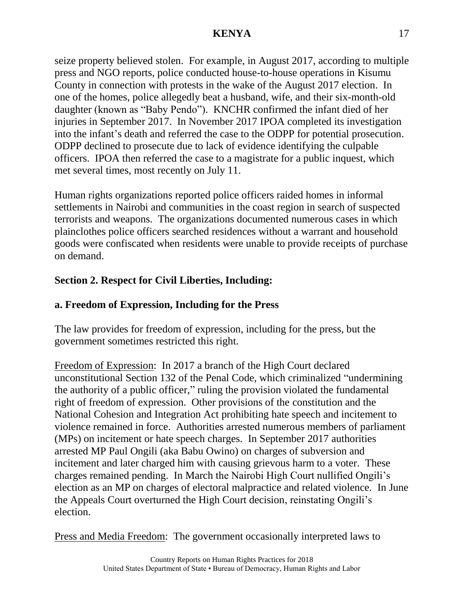seize property believed stolen. For example, in August 2017, according to multiple press and NGO reports, police conducted house-to-house operations in Kisumu County in connection with protests in the wake of the August 2017 election. In one of the homes, police allegedly beat a husband, wife, and their six-month-old daughter (known as "Baby Pendo"). KNCHR confirmed the infant died of her injuries in September 2017. In November 2017 IPOA completed its investigation into the infant's death and referred the case to the ODPP for potential prosecution. ODPP declined to prosecute due to lack of evidence identifying the culpable officers. IPOA then referred the case to a magistrate for a public inquest, which met several times, most recently on July 11.

Human rights organizations reported police officers raided homes in informal settlements in Nairobi and communities in the coast region in search of suspected terrorists and weapons. The organizations documented numerous cases in which plainclothes police officers searched residences without a warrant and household goods were confiscated when residents were unable to provide receipts of purchase on demand.

# **Section 2. Respect for Civil Liberties, Including:**

# **a. Freedom of Expression, Including for the Press**

The law provides for freedom of expression, including for the press, but the government sometimes restricted this right.

Freedom of Expression: In 2017 a branch of the High Court declared unconstitutional Section 132 of the Penal Code, which criminalized "undermining the authority of a public officer," ruling the provision violated the fundamental right of freedom of expression. Other provisions of the constitution and the National Cohesion and Integration Act prohibiting hate speech and incitement to violence remained in force. Authorities arrested numerous members of parliament (MPs) on incitement or hate speech charges. In September 2017 authorities arrested MP Paul Ongili (aka Babu Owino) on charges of subversion and incitement and later charged him with causing grievous harm to a voter. These charges remained pending. In March the Nairobi High Court nullified Ongili's election as an MP on charges of electoral malpractice and related violence. In June the Appeals Court overturned the High Court decision, reinstating Ongili's election.

Press and Media Freedom: The government occasionally interpreted laws to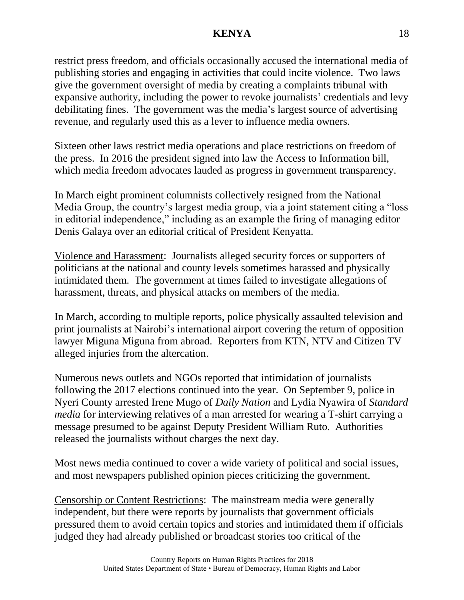restrict press freedom, and officials occasionally accused the international media of publishing stories and engaging in activities that could incite violence. Two laws give the government oversight of media by creating a complaints tribunal with expansive authority, including the power to revoke journalists' credentials and levy debilitating fines. The government was the media's largest source of advertising revenue, and regularly used this as a lever to influence media owners.

Sixteen other laws restrict media operations and place restrictions on freedom of the press. In 2016 the president signed into law the Access to Information bill, which media freedom advocates lauded as progress in government transparency.

In March eight prominent columnists collectively resigned from the National Media Group, the country's largest media group, via a joint statement citing a "loss in editorial independence," including as an example the firing of managing editor Denis Galaya over an editorial critical of President Kenyatta.

Violence and Harassment: Journalists alleged security forces or supporters of politicians at the national and county levels sometimes harassed and physically intimidated them. The government at times failed to investigate allegations of harassment, threats, and physical attacks on members of the media.

In March, according to multiple reports, police physically assaulted television and print journalists at Nairobi's international airport covering the return of opposition lawyer Miguna Miguna from abroad. Reporters from KTN, NTV and Citizen TV alleged injuries from the altercation.

Numerous news outlets and NGOs reported that intimidation of journalists following the 2017 elections continued into the year. On September 9, police in Nyeri County arrested Irene Mugo of *Daily Nation* and Lydia Nyawira of *Standard media* for interviewing relatives of a man arrested for wearing a T-shirt carrying a message presumed to be against Deputy President William Ruto. Authorities released the journalists without charges the next day.

Most news media continued to cover a wide variety of political and social issues, and most newspapers published opinion pieces criticizing the government.

Censorship or Content Restrictions: The mainstream media were generally independent, but there were reports by journalists that government officials pressured them to avoid certain topics and stories and intimidated them if officials judged they had already published or broadcast stories too critical of the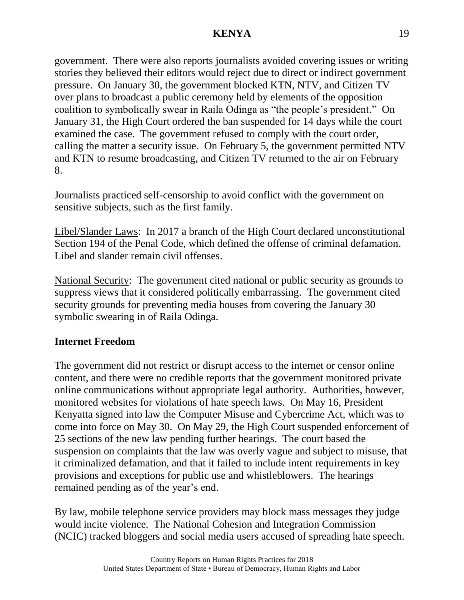government. There were also reports journalists avoided covering issues or writing stories they believed their editors would reject due to direct or indirect government pressure. On January 30, the government blocked KTN, NTV, and Citizen TV over plans to broadcast a public ceremony held by elements of the opposition coalition to symbolically swear in Raila Odinga as "the people's president." On January 31, the High Court ordered the ban suspended for 14 days while the court examined the case. The government refused to comply with the court order, calling the matter a security issue. On February 5, the government permitted NTV and KTN to resume broadcasting, and Citizen TV returned to the air on February 8.

Journalists practiced self-censorship to avoid conflict with the government on sensitive subjects, such as the first family.

Libel/Slander Laws: In 2017 a branch of the High Court declared unconstitutional Section 194 of the Penal Code, which defined the offense of criminal defamation. Libel and slander remain civil offenses.

National Security: The government cited national or public security as grounds to suppress views that it considered politically embarrassing. The government cited security grounds for preventing media houses from covering the January 30 symbolic swearing in of Raila Odinga.

## **Internet Freedom**

The government did not restrict or disrupt access to the internet or censor online content, and there were no credible reports that the government monitored private online communications without appropriate legal authority. Authorities, however, monitored websites for violations of hate speech laws. On May 16, President Kenyatta signed into law the Computer Misuse and Cybercrime Act, which was to come into force on May 30. On May 29, the High Court suspended enforcement of 25 sections of the new law pending further hearings. The court based the suspension on complaints that the law was overly vague and subject to misuse, that it criminalized defamation, and that it failed to include intent requirements in key provisions and exceptions for public use and whistleblowers. The hearings remained pending as of the year's end.

By law, mobile telephone service providers may block mass messages they judge would incite violence. The National Cohesion and Integration Commission (NCIC) tracked bloggers and social media users accused of spreading hate speech.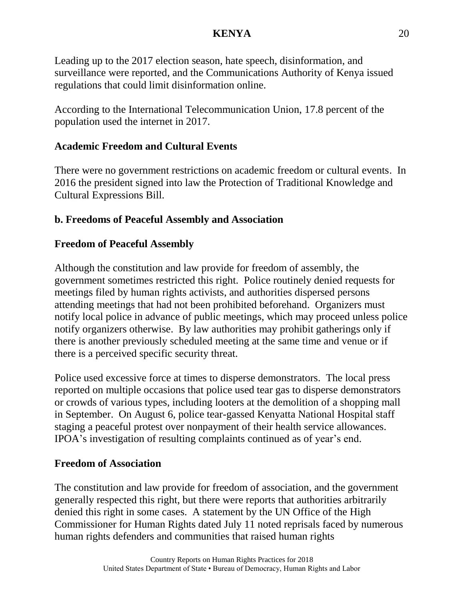Leading up to the 2017 election season, hate speech, disinformation, and surveillance were reported, and the Communications Authority of Kenya issued regulations that could limit disinformation online.

According to the International Telecommunication Union, 17.8 percent of the population used the internet in 2017.

# **Academic Freedom and Cultural Events**

There were no government restrictions on academic freedom or cultural events. In 2016 the president signed into law the Protection of Traditional Knowledge and Cultural Expressions Bill.

## **b. Freedoms of Peaceful Assembly and Association**

## **Freedom of Peaceful Assembly**

Although the constitution and law provide for freedom of assembly, the government sometimes restricted this right. Police routinely denied requests for meetings filed by human rights activists, and authorities dispersed persons attending meetings that had not been prohibited beforehand. Organizers must notify local police in advance of public meetings, which may proceed unless police notify organizers otherwise. By law authorities may prohibit gatherings only if there is another previously scheduled meeting at the same time and venue or if there is a perceived specific security threat.

Police used excessive force at times to disperse demonstrators. The local press reported on multiple occasions that police used tear gas to disperse demonstrators or crowds of various types, including looters at the demolition of a shopping mall in September. On August 6, police tear-gassed Kenyatta National Hospital staff staging a peaceful protest over nonpayment of their health service allowances. IPOA's investigation of resulting complaints continued as of year's end.

### **Freedom of Association**

The constitution and law provide for freedom of association, and the government generally respected this right, but there were reports that authorities arbitrarily denied this right in some cases. A statement by the UN Office of the High Commissioner for Human Rights dated July 11 noted reprisals faced by numerous human rights defenders and communities that raised human rights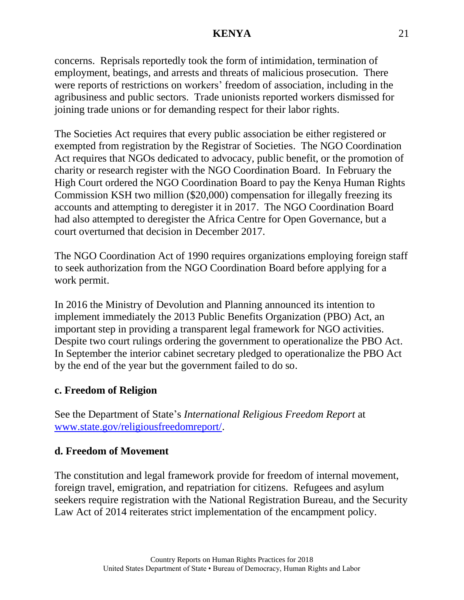concerns. Reprisals reportedly took the form of intimidation, termination of employment, beatings, and arrests and threats of malicious prosecution. There were reports of restrictions on workers' freedom of association, including in the agribusiness and public sectors. Trade unionists reported workers dismissed for joining trade unions or for demanding respect for their labor rights.

The Societies Act requires that every public association be either registered or exempted from registration by the Registrar of Societies. The NGO Coordination Act requires that NGOs dedicated to advocacy, public benefit, or the promotion of charity or research register with the NGO Coordination Board. In February the High Court ordered the NGO Coordination Board to pay the Kenya Human Rights Commission KSH two million (\$20,000) compensation for illegally freezing its accounts and attempting to deregister it in 2017. The NGO Coordination Board had also attempted to deregister the Africa Centre for Open Governance, but a court overturned that decision in December 2017.

The NGO Coordination Act of 1990 requires organizations employing foreign staff to seek authorization from the NGO Coordination Board before applying for a work permit.

In 2016 the Ministry of Devolution and Planning announced its intention to implement immediately the 2013 Public Benefits Organization (PBO) Act, an important step in providing a transparent legal framework for NGO activities. Despite two court rulings ordering the government to operationalize the PBO Act. In September the interior cabinet secretary pledged to operationalize the PBO Act by the end of the year but the government failed to do so.

## **c. Freedom of Religion**

See the Department of State's *International Religious Freedom Report* at [www.state.gov/religiousfreedomreport/.](http://www.state.gov/religiousfreedomreport/)

## **d. Freedom of Movement**

The constitution and legal framework provide for freedom of internal movement, foreign travel, emigration, and repatriation for citizens. Refugees and asylum seekers require registration with the National Registration Bureau, and the Security Law Act of 2014 reiterates strict implementation of the encampment policy.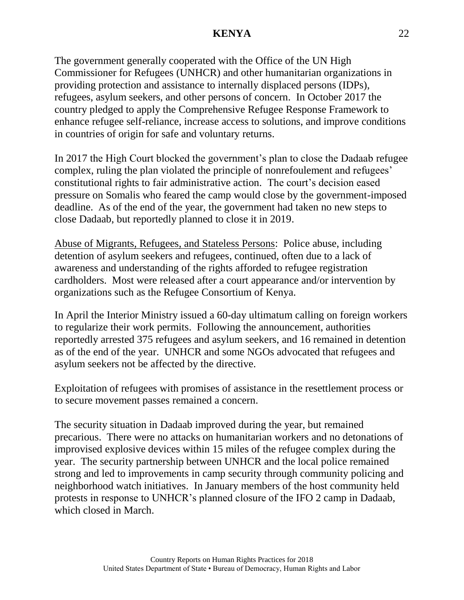The government generally cooperated with the Office of the UN High Commissioner for Refugees (UNHCR) and other humanitarian organizations in providing protection and assistance to internally displaced persons (IDPs), refugees, asylum seekers, and other persons of concern. In October 2017 the country pledged to apply the Comprehensive Refugee Response Framework to enhance refugee self-reliance, increase access to solutions, and improve conditions in countries of origin for safe and voluntary returns.

In 2017 the High Court blocked the government's plan to close the Dadaab refugee complex, ruling the plan violated the principle of nonrefoulement and refugees' constitutional rights to fair administrative action. The court's decision eased pressure on Somalis who feared the camp would close by the government-imposed deadline. As of the end of the year, the government had taken no new steps to close Dadaab, but reportedly planned to close it in 2019.

Abuse of Migrants, Refugees, and Stateless Persons: Police abuse, including detention of asylum seekers and refugees, continued, often due to a lack of awareness and understanding of the rights afforded to refugee registration cardholders. Most were released after a court appearance and/or intervention by organizations such as the Refugee Consortium of Kenya.

In April the Interior Ministry issued a 60-day ultimatum calling on foreign workers to regularize their work permits. Following the announcement, authorities reportedly arrested 375 refugees and asylum seekers, and 16 remained in detention as of the end of the year. UNHCR and some NGOs advocated that refugees and asylum seekers not be affected by the directive.

Exploitation of refugees with promises of assistance in the resettlement process or to secure movement passes remained a concern.

The security situation in Dadaab improved during the year, but remained precarious. There were no attacks on humanitarian workers and no detonations of improvised explosive devices within 15 miles of the refugee complex during the year. The security partnership between UNHCR and the local police remained strong and led to improvements in camp security through community policing and neighborhood watch initiatives. In January members of the host community held protests in response to UNHCR's planned closure of the IFO 2 camp in Dadaab, which closed in March.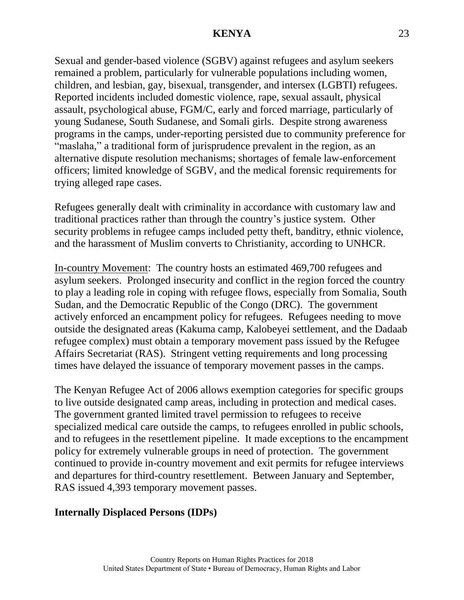Sexual and gender-based violence (SGBV) against refugees and asylum seekers remained a problem, particularly for vulnerable populations including women, children, and lesbian, gay, bisexual, transgender, and intersex (LGBTI) refugees. Reported incidents included domestic violence, rape, sexual assault, physical assault, psychological abuse, FGM/C, early and forced marriage, particularly of young Sudanese, South Sudanese, and Somali girls. Despite strong awareness programs in the camps, under-reporting persisted due to community preference for "maslaha," a traditional form of jurisprudence prevalent in the region, as an alternative dispute resolution mechanisms; shortages of female law-enforcement officers; limited knowledge of SGBV, and the medical forensic requirements for trying alleged rape cases.

Refugees generally dealt with criminality in accordance with customary law and traditional practices rather than through the country's justice system. Other security problems in refugee camps included petty theft, banditry, ethnic violence, and the harassment of Muslim converts to Christianity, according to UNHCR.

In-country Movement: The country hosts an estimated 469,700 refugees and asylum seekers. Prolonged insecurity and conflict in the region forced the country to play a leading role in coping with refugee flows, especially from Somalia, South Sudan, and the Democratic Republic of the Congo (DRC). The government actively enforced an encampment policy for refugees. Refugees needing to move outside the designated areas (Kakuma camp, Kalobeyei settlement, and the Dadaab refugee complex) must obtain a temporary movement pass issued by the Refugee Affairs Secretariat (RAS). Stringent vetting requirements and long processing times have delayed the issuance of temporary movement passes in the camps.

The Kenyan Refugee Act of 2006 allows exemption categories for specific groups to live outside designated camp areas, including in protection and medical cases. The government granted limited travel permission to refugees to receive specialized medical care outside the camps, to refugees enrolled in public schools, and to refugees in the resettlement pipeline. It made exceptions to the encampment policy for extremely vulnerable groups in need of protection. The government continued to provide in-country movement and exit permits for refugee interviews and departures for third-country resettlement. Between January and September, RAS issued 4,393 temporary movement passes.

#### **Internally Displaced Persons (IDPs)**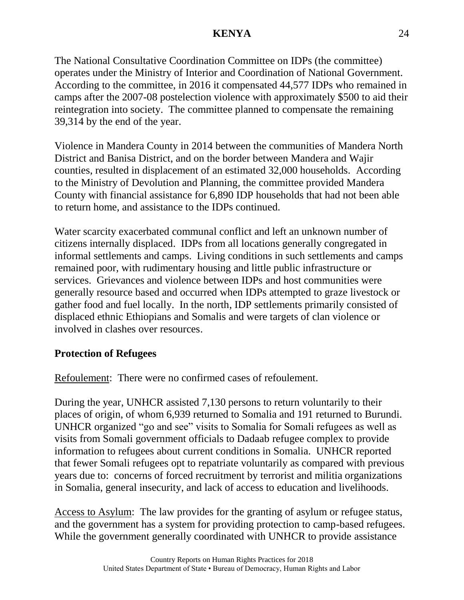The National Consultative Coordination Committee on IDPs (the committee) operates under the Ministry of Interior and Coordination of National Government. According to the committee, in 2016 it compensated 44,577 IDPs who remained in camps after the 2007-08 postelection violence with approximately \$500 to aid their reintegration into society. The committee planned to compensate the remaining 39,314 by the end of the year.

Violence in Mandera County in 2014 between the communities of Mandera North District and Banisa District, and on the border between Mandera and Wajir counties, resulted in displacement of an estimated 32,000 households. According to the Ministry of Devolution and Planning, the committee provided Mandera County with financial assistance for 6,890 IDP households that had not been able to return home, and assistance to the IDPs continued.

Water scarcity exacerbated communal conflict and left an unknown number of citizens internally displaced. IDPs from all locations generally congregated in informal settlements and camps. Living conditions in such settlements and camps remained poor, with rudimentary housing and little public infrastructure or services. Grievances and violence between IDPs and host communities were generally resource based and occurred when IDPs attempted to graze livestock or gather food and fuel locally. In the north, IDP settlements primarily consisted of displaced ethnic Ethiopians and Somalis and were targets of clan violence or involved in clashes over resources.

## **Protection of Refugees**

Refoulement: There were no confirmed cases of refoulement.

During the year, UNHCR assisted 7,130 persons to return voluntarily to their places of origin, of whom 6,939 returned to Somalia and 191 returned to Burundi. UNHCR organized "go and see" visits to Somalia for Somali refugees as well as visits from Somali government officials to Dadaab refugee complex to provide information to refugees about current conditions in Somalia. UNHCR reported that fewer Somali refugees opt to repatriate voluntarily as compared with previous years due to: concerns of forced recruitment by terrorist and militia organizations in Somalia, general insecurity, and lack of access to education and livelihoods.

Access to Asylum: The law provides for the granting of asylum or refugee status, and the government has a system for providing protection to camp-based refugees. While the government generally coordinated with UNHCR to provide assistance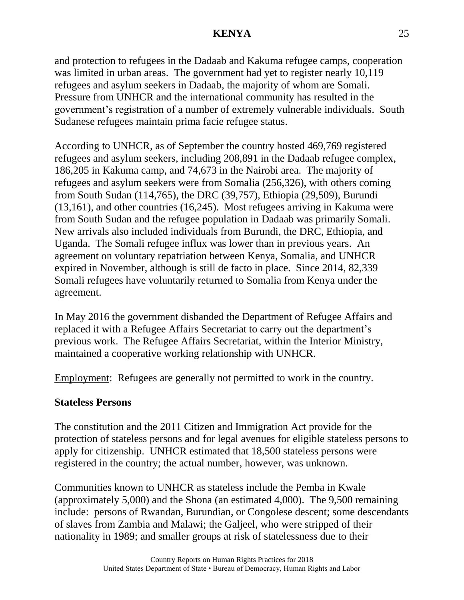and protection to refugees in the Dadaab and Kakuma refugee camps, cooperation was limited in urban areas. The government had yet to register nearly 10,119 refugees and asylum seekers in Dadaab, the majority of whom are Somali. Pressure from UNHCR and the international community has resulted in the government's registration of a number of extremely vulnerable individuals. South Sudanese refugees maintain prima facie refugee status.

According to UNHCR, as of September the country hosted 469,769 registered refugees and asylum seekers, including 208,891 in the Dadaab refugee complex, 186,205 in Kakuma camp, and 74,673 in the Nairobi area. The majority of refugees and asylum seekers were from Somalia (256,326), with others coming from South Sudan (114,765), the DRC (39,757), Ethiopia (29,509), Burundi (13,161), and other countries (16,245). Most refugees arriving in Kakuma were from South Sudan and the refugee population in Dadaab was primarily Somali. New arrivals also included individuals from Burundi, the DRC, Ethiopia, and Uganda. The Somali refugee influx was lower than in previous years. An agreement on voluntary repatriation between Kenya, Somalia, and UNHCR expired in November, although is still de facto in place. Since 2014, 82,339 Somali refugees have voluntarily returned to Somalia from Kenya under the agreement.

In May 2016 the government disbanded the Department of Refugee Affairs and replaced it with a Refugee Affairs Secretariat to carry out the department's previous work. The Refugee Affairs Secretariat, within the Interior Ministry, maintained a cooperative working relationship with UNHCR.

Employment: Refugees are generally not permitted to work in the country.

### **Stateless Persons**

The constitution and the 2011 Citizen and Immigration Act provide for the protection of stateless persons and for legal avenues for eligible stateless persons to apply for citizenship. UNHCR estimated that 18,500 stateless persons were registered in the country; the actual number, however, was unknown.

Communities known to UNHCR as stateless include the Pemba in Kwale (approximately 5,000) and the Shona (an estimated 4,000). The 9,500 remaining include: persons of Rwandan, Burundian, or Congolese descent; some descendants of slaves from Zambia and Malawi; the Galjeel, who were stripped of their nationality in 1989; and smaller groups at risk of statelessness due to their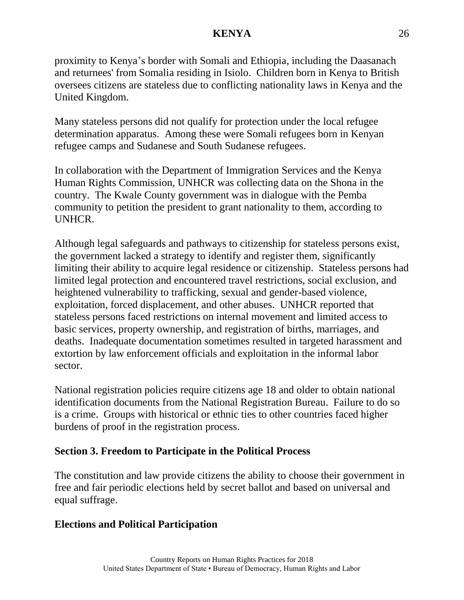proximity to Kenya's border with Somali and Ethiopia, including the Daasanach and returnees' from Somalia residing in Isiolo. Children born in Kenya to British oversees citizens are stateless due to conflicting nationality laws in Kenya and the United Kingdom.

Many stateless persons did not qualify for protection under the local refugee determination apparatus. Among these were Somali refugees born in Kenyan refugee camps and Sudanese and South Sudanese refugees.

In collaboration with the Department of Immigration Services and the Kenya Human Rights Commission, UNHCR was collecting data on the Shona in the country. The Kwale County government was in dialogue with the Pemba community to petition the president to grant nationality to them, according to UNHCR.

Although legal safeguards and pathways to citizenship for stateless persons exist, the government lacked a strategy to identify and register them, significantly limiting their ability to acquire legal residence or citizenship. Stateless persons had limited legal protection and encountered travel restrictions, social exclusion, and heightened vulnerability to trafficking, sexual and gender-based violence, exploitation, forced displacement, and other abuses. UNHCR reported that stateless persons faced restrictions on internal movement and limited access to basic services, property ownership, and registration of births, marriages, and deaths. Inadequate documentation sometimes resulted in targeted harassment and extortion by law enforcement officials and exploitation in the informal labor sector.

National registration policies require citizens age 18 and older to obtain national identification documents from the National Registration Bureau. Failure to do so is a crime. Groups with historical or ethnic ties to other countries faced higher burdens of proof in the registration process.

## **Section 3. Freedom to Participate in the Political Process**

The constitution and law provide citizens the ability to choose their government in free and fair periodic elections held by secret ballot and based on universal and equal suffrage.

## **Elections and Political Participation**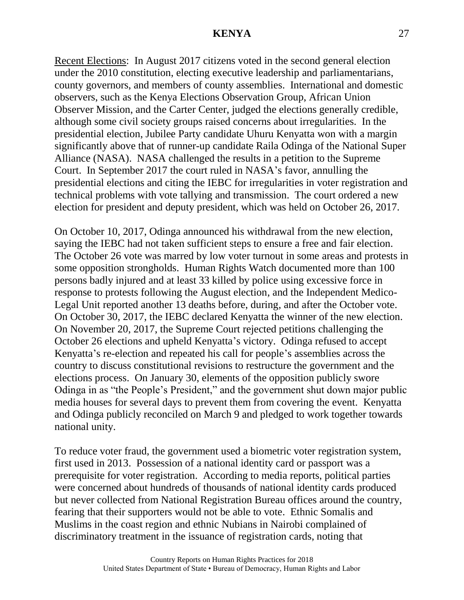Recent Elections: In August 2017 citizens voted in the second general election under the 2010 constitution, electing executive leadership and parliamentarians, county governors, and members of county assemblies. International and domestic observers, such as the Kenya Elections Observation Group, African Union Observer Mission, and the Carter Center, judged the elections generally credible, although some civil society groups raised concerns about irregularities. In the presidential election, Jubilee Party candidate Uhuru Kenyatta won with a margin significantly above that of runner-up candidate Raila Odinga of the National Super Alliance (NASA). NASA challenged the results in a petition to the Supreme Court. In September 2017 the court ruled in NASA's favor, annulling the presidential elections and citing the IEBC for irregularities in voter registration and technical problems with vote tallying and transmission. The court ordered a new election for president and deputy president, which was held on October 26, 2017.

On October 10, 2017, Odinga announced his withdrawal from the new election, saying the IEBC had not taken sufficient steps to ensure a free and fair election. The October 26 vote was marred by low voter turnout in some areas and protests in some opposition strongholds. Human Rights Watch documented more than 100 persons badly injured and at least 33 killed by police using excessive force in response to protests following the August election, and the Independent Medico-Legal Unit reported another 13 deaths before, during, and after the October vote. On October 30, 2017, the IEBC declared Kenyatta the winner of the new election. On November 20, 2017, the Supreme Court rejected petitions challenging the October 26 elections and upheld Kenyatta's victory. Odinga refused to accept Kenyatta's re-election and repeated his call for people's assemblies across the country to discuss constitutional revisions to restructure the government and the elections process. On January 30, elements of the opposition publicly swore Odinga in as "the People's President," and the government shut down major public media houses for several days to prevent them from covering the event. Kenyatta and Odinga publicly reconciled on March 9 and pledged to work together towards national unity.

To reduce voter fraud, the government used a biometric voter registration system, first used in 2013. Possession of a national identity card or passport was a prerequisite for voter registration. According to media reports, political parties were concerned about hundreds of thousands of national identity cards produced but never collected from National Registration Bureau offices around the country, fearing that their supporters would not be able to vote. Ethnic Somalis and Muslims in the coast region and ethnic Nubians in Nairobi complained of discriminatory treatment in the issuance of registration cards, noting that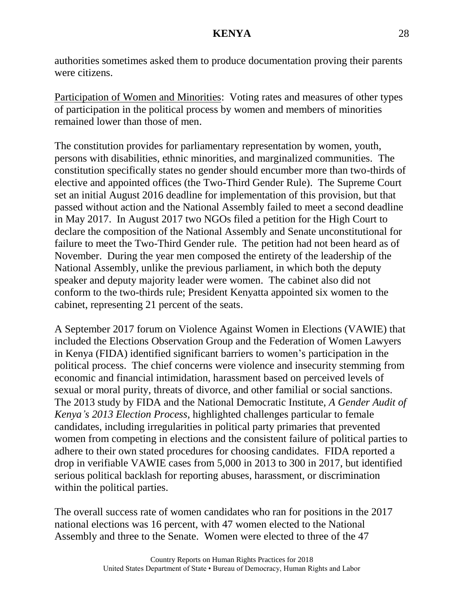authorities sometimes asked them to produce documentation proving their parents were citizens.

Participation of Women and Minorities: Voting rates and measures of other types of participation in the political process by women and members of minorities remained lower than those of men.

The constitution provides for parliamentary representation by women, youth, persons with disabilities, ethnic minorities, and marginalized communities. The constitution specifically states no gender should encumber more than two-thirds of elective and appointed offices (the Two-Third Gender Rule). The Supreme Court set an initial August 2016 deadline for implementation of this provision, but that passed without action and the National Assembly failed to meet a second deadline in May 2017. In August 2017 two NGOs filed a petition for the High Court to declare the composition of the National Assembly and Senate unconstitutional for failure to meet the Two-Third Gender rule. The petition had not been heard as of November. During the year men composed the entirety of the leadership of the National Assembly, unlike the previous parliament, in which both the deputy speaker and deputy majority leader were women. The cabinet also did not conform to the two-thirds rule; President Kenyatta appointed six women to the cabinet, representing 21 percent of the seats.

A September 2017 forum on Violence Against Women in Elections (VAWIE) that included the Elections Observation Group and the Federation of Women Lawyers in Kenya (FIDA) identified significant barriers to women's participation in the political process. The chief concerns were violence and insecurity stemming from economic and financial intimidation, harassment based on perceived levels of sexual or moral purity, threats of divorce, and other familial or social sanctions. The 2013 study by FIDA and the National Democratic Institute, *A Gender Audit of Kenya's 2013 Election Process*, highlighted challenges particular to female candidates, including irregularities in political party primaries that prevented women from competing in elections and the consistent failure of political parties to adhere to their own stated procedures for choosing candidates. FIDA reported a drop in verifiable VAWIE cases from 5,000 in 2013 to 300 in 2017, but identified serious political backlash for reporting abuses, harassment, or discrimination within the political parties.

The overall success rate of women candidates who ran for positions in the 2017 national elections was 16 percent, with 47 women elected to the National Assembly and three to the Senate. Women were elected to three of the 47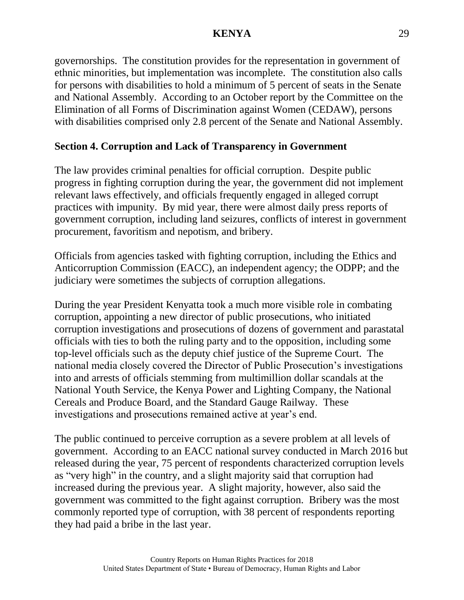governorships. The constitution provides for the representation in government of ethnic minorities, but implementation was incomplete. The constitution also calls for persons with disabilities to hold a minimum of 5 percent of seats in the Senate and National Assembly. According to an October report by the Committee on the Elimination of all Forms of Discrimination against Women (CEDAW), persons with disabilities comprised only 2.8 percent of the Senate and National Assembly.

## **Section 4. Corruption and Lack of Transparency in Government**

The law provides criminal penalties for official corruption. Despite public progress in fighting corruption during the year, the government did not implement relevant laws effectively, and officials frequently engaged in alleged corrupt practices with impunity. By mid year, there were almost daily press reports of government corruption, including land seizures, conflicts of interest in government procurement, favoritism and nepotism, and bribery.

Officials from agencies tasked with fighting corruption, including the Ethics and Anticorruption Commission (EACC), an independent agency; the ODPP; and the judiciary were sometimes the subjects of corruption allegations.

During the year President Kenyatta took a much more visible role in combating corruption, appointing a new director of public prosecutions, who initiated corruption investigations and prosecutions of dozens of government and parastatal officials with ties to both the ruling party and to the opposition, including some top-level officials such as the deputy chief justice of the Supreme Court. The national media closely covered the Director of Public Prosecution's investigations into and arrests of officials stemming from multimillion dollar scandals at the National Youth Service, the Kenya Power and Lighting Company, the National Cereals and Produce Board, and the Standard Gauge Railway. These investigations and prosecutions remained active at year's end.

The public continued to perceive corruption as a severe problem at all levels of government. According to an EACC national survey conducted in March 2016 but released during the year, 75 percent of respondents characterized corruption levels as "very high" in the country, and a slight majority said that corruption had increased during the previous year. A slight majority, however, also said the government was committed to the fight against corruption. Bribery was the most commonly reported type of corruption, with 38 percent of respondents reporting they had paid a bribe in the last year.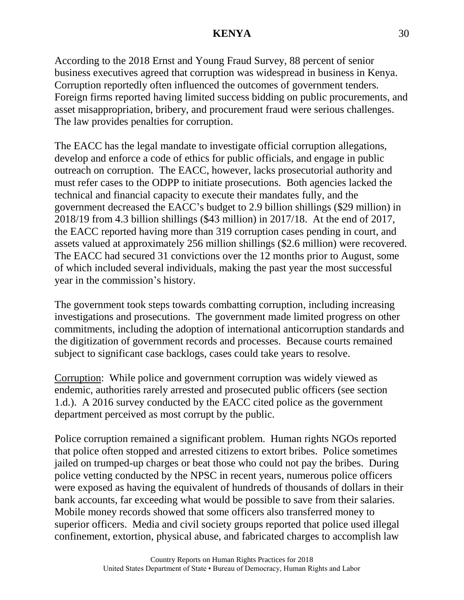According to the 2018 Ernst and Young Fraud Survey, 88 percent of senior business executives agreed that corruption was widespread in business in Kenya. Corruption reportedly often influenced the outcomes of government tenders. Foreign firms reported having limited success bidding on public procurements, and asset misappropriation, bribery, and procurement fraud were serious challenges. The law provides penalties for corruption.

The EACC has the legal mandate to investigate official corruption allegations, develop and enforce a code of ethics for public officials, and engage in public outreach on corruption. The EACC, however, lacks prosecutorial authority and must refer cases to the ODPP to initiate prosecutions. Both agencies lacked the technical and financial capacity to execute their mandates fully, and the government decreased the EACC's budget to 2.9 billion shillings (\$29 million) in 2018/19 from 4.3 billion shillings (\$43 million) in 2017/18. At the end of 2017, the EACC reported having more than 319 corruption cases pending in court, and assets valued at approximately 256 million shillings (\$2.6 million) were recovered. The EACC had secured 31 convictions over the 12 months prior to August, some of which included several individuals, making the past year the most successful year in the commission's history.

The government took steps towards combatting corruption, including increasing investigations and prosecutions. The government made limited progress on other commitments, including the adoption of international anticorruption standards and the digitization of government records and processes. Because courts remained subject to significant case backlogs, cases could take years to resolve.

Corruption: While police and government corruption was widely viewed as endemic, authorities rarely arrested and prosecuted public officers (see section 1.d.). A 2016 survey conducted by the EACC cited police as the government department perceived as most corrupt by the public.

Police corruption remained a significant problem. Human rights NGOs reported that police often stopped and arrested citizens to extort bribes. Police sometimes jailed on trumped-up charges or beat those who could not pay the bribes. During police vetting conducted by the NPSC in recent years, numerous police officers were exposed as having the equivalent of hundreds of thousands of dollars in their bank accounts, far exceeding what would be possible to save from their salaries. Mobile money records showed that some officers also transferred money to superior officers. Media and civil society groups reported that police used illegal confinement, extortion, physical abuse, and fabricated charges to accomplish law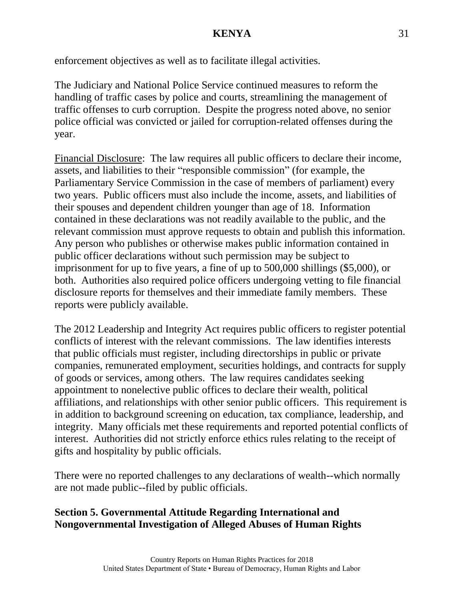enforcement objectives as well as to facilitate illegal activities.

The Judiciary and National Police Service continued measures to reform the handling of traffic cases by police and courts, streamlining the management of traffic offenses to curb corruption. Despite the progress noted above, no senior police official was convicted or jailed for corruption-related offenses during the year.

Financial Disclosure: The law requires all public officers to declare their income, assets, and liabilities to their "responsible commission" (for example, the Parliamentary Service Commission in the case of members of parliament) every two years. Public officers must also include the income, assets, and liabilities of their spouses and dependent children younger than age of 18. Information contained in these declarations was not readily available to the public, and the relevant commission must approve requests to obtain and publish this information. Any person who publishes or otherwise makes public information contained in public officer declarations without such permission may be subject to imprisonment for up to five years, a fine of up to 500,000 shillings (\$5,000), or both. Authorities also required police officers undergoing vetting to file financial disclosure reports for themselves and their immediate family members. These reports were publicly available.

The 2012 Leadership and Integrity Act requires public officers to register potential conflicts of interest with the relevant commissions. The law identifies interests that public officials must register, including directorships in public or private companies, remunerated employment, securities holdings, and contracts for supply of goods or services, among others. The law requires candidates seeking appointment to nonelective public offices to declare their wealth, political affiliations, and relationships with other senior public officers. This requirement is in addition to background screening on education, tax compliance, leadership, and integrity. Many officials met these requirements and reported potential conflicts of interest. Authorities did not strictly enforce ethics rules relating to the receipt of gifts and hospitality by public officials.

There were no reported challenges to any declarations of wealth--which normally are not made public--filed by public officials.

## **Section 5. Governmental Attitude Regarding International and Nongovernmental Investigation of Alleged Abuses of Human Rights**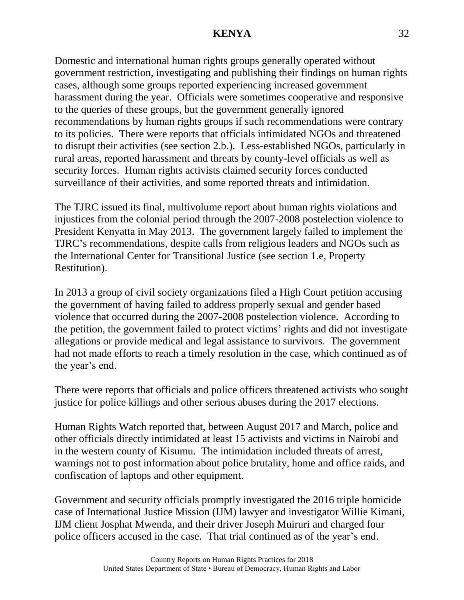Domestic and international human rights groups generally operated without government restriction, investigating and publishing their findings on human rights cases, although some groups reported experiencing increased government harassment during the year. Officials were sometimes cooperative and responsive to the queries of these groups, but the government generally ignored recommendations by human rights groups if such recommendations were contrary to its policies. There were reports that officials intimidated NGOs and threatened to disrupt their activities (see section 2.b.). Less-established NGOs, particularly in rural areas, reported harassment and threats by county-level officials as well as security forces. Human rights activists claimed security forces conducted surveillance of their activities, and some reported threats and intimidation.

The TJRC issued its final, multivolume report about human rights violations and injustices from the colonial period through the 2007-2008 postelection violence to President Kenyatta in May 2013. The government largely failed to implement the TJRC's recommendations, despite calls from religious leaders and NGOs such as the International Center for Transitional Justice (see section 1.e, Property Restitution).

In 2013 a group of civil society organizations filed a High Court petition accusing the government of having failed to address properly sexual and gender based violence that occurred during the 2007-2008 postelection violence. According to the petition, the government failed to protect victims' rights and did not investigate allegations or provide medical and legal assistance to survivors. The government had not made efforts to reach a timely resolution in the case, which continued as of the year's end.

There were reports that officials and police officers threatened activists who sought justice for police killings and other serious abuses during the 2017 elections.

Human Rights Watch reported that, between August 2017 and March, police and other officials directly intimidated at least 15 activists and victims in Nairobi and in the western county of Kisumu. The intimidation included threats of arrest, warnings not to post information about police brutality, home and office raids, and confiscation of laptops and other equipment.

Government and security officials promptly investigated the 2016 triple homicide case of International Justice Mission (IJM) lawyer and investigator Willie Kimani, IJM client Josphat Mwenda, and their driver Joseph Muiruri and charged four police officers accused in the case. That trial continued as of the year's end.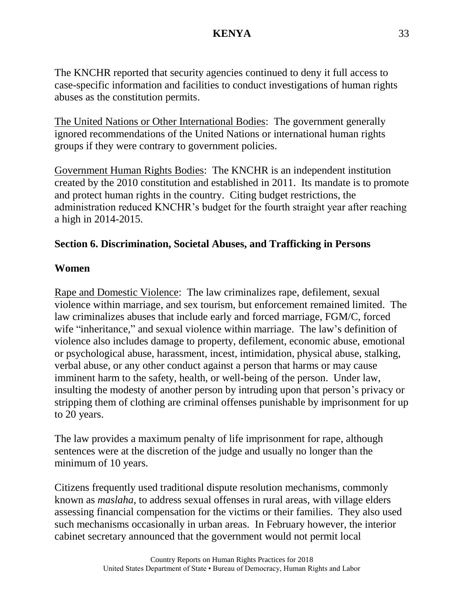The KNCHR reported that security agencies continued to deny it full access to case-specific information and facilities to conduct investigations of human rights abuses as the constitution permits.

The United Nations or Other International Bodies: The government generally ignored recommendations of the United Nations or international human rights groups if they were contrary to government policies.

Government Human Rights Bodies: The KNCHR is an independent institution created by the 2010 constitution and established in 2011. Its mandate is to promote and protect human rights in the country. Citing budget restrictions, the administration reduced KNCHR's budget for the fourth straight year after reaching a high in 2014-2015.

## **Section 6. Discrimination, Societal Abuses, and Trafficking in Persons**

## **Women**

Rape and Domestic Violence: The law criminalizes rape, defilement, sexual violence within marriage, and sex tourism, but enforcement remained limited. The law criminalizes abuses that include early and forced marriage, FGM/C, forced wife "inheritance," and sexual violence within marriage. The law's definition of violence also includes damage to property, defilement, economic abuse, emotional or psychological abuse, harassment, incest, intimidation, physical abuse, stalking, verbal abuse, or any other conduct against a person that harms or may cause imminent harm to the safety, health, or well-being of the person. Under law, insulting the modesty of another person by intruding upon that person's privacy or stripping them of clothing are criminal offenses punishable by imprisonment for up to 20 years.

The law provides a maximum penalty of life imprisonment for rape, although sentences were at the discretion of the judge and usually no longer than the minimum of 10 years.

Citizens frequently used traditional dispute resolution mechanisms, commonly known as *maslaha*, to address sexual offenses in rural areas, with village elders assessing financial compensation for the victims or their families. They also used such mechanisms occasionally in urban areas. In February however, the interior cabinet secretary announced that the government would not permit local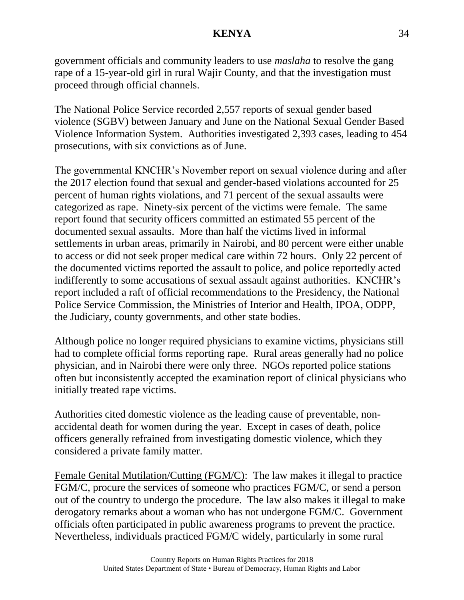government officials and community leaders to use *maslaha* to resolve the gang rape of a 15-year-old girl in rural Wajir County, and that the investigation must proceed through official channels.

The National Police Service recorded 2,557 reports of sexual gender based violence (SGBV) between January and June on the National Sexual Gender Based Violence Information System. Authorities investigated 2,393 cases, leading to 454 prosecutions, with six convictions as of June.

The governmental KNCHR's November report on sexual violence during and after the 2017 election found that sexual and gender-based violations accounted for 25 percent of human rights violations, and 71 percent of the sexual assaults were categorized as rape. Ninety-six percent of the victims were female. The same report found that security officers committed an estimated 55 percent of the documented sexual assaults. More than half the victims lived in informal settlements in urban areas, primarily in Nairobi, and 80 percent were either unable to access or did not seek proper medical care within 72 hours. Only 22 percent of the documented victims reported the assault to police, and police reportedly acted indifferently to some accusations of sexual assault against authorities. KNCHR's report included a raft of official recommendations to the Presidency, the National Police Service Commission, the Ministries of Interior and Health, IPOA, ODPP, the Judiciary, county governments, and other state bodies.

Although police no longer required physicians to examine victims, physicians still had to complete official forms reporting rape. Rural areas generally had no police physician, and in Nairobi there were only three. NGOs reported police stations often but inconsistently accepted the examination report of clinical physicians who initially treated rape victims.

Authorities cited domestic violence as the leading cause of preventable, nonaccidental death for women during the year. Except in cases of death, police officers generally refrained from investigating domestic violence, which they considered a private family matter.

Female Genital Mutilation/Cutting (FGM/C): The law makes it illegal to practice FGM/C, procure the services of someone who practices FGM/C, or send a person out of the country to undergo the procedure. The law also makes it illegal to make derogatory remarks about a woman who has not undergone FGM/C. Government officials often participated in public awareness programs to prevent the practice. Nevertheless, individuals practiced FGM/C widely, particularly in some rural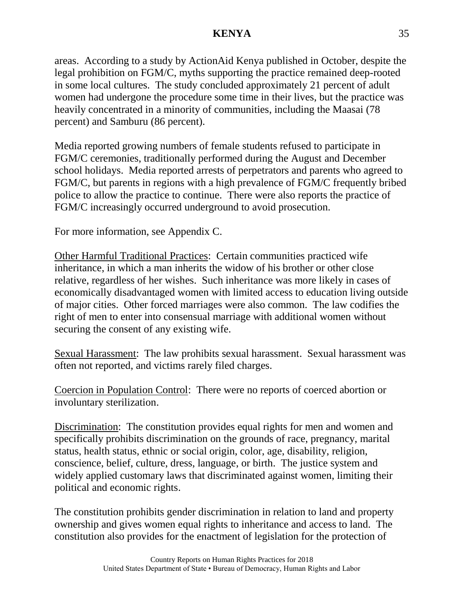areas. According to a study by ActionAid Kenya published in October, despite the legal prohibition on FGM/C, myths supporting the practice remained deep-rooted in some local cultures. The study concluded approximately 21 percent of adult women had undergone the procedure some time in their lives, but the practice was heavily concentrated in a minority of communities, including the Maasai (78 percent) and Samburu (86 percent).

Media reported growing numbers of female students refused to participate in FGM/C ceremonies, traditionally performed during the August and December school holidays. Media reported arrests of perpetrators and parents who agreed to FGM/C, but parents in regions with a high prevalence of FGM/C frequently bribed police to allow the practice to continue. There were also reports the practice of FGM/C increasingly occurred underground to avoid prosecution.

For more information, see Appendix C.

Other Harmful Traditional Practices: Certain communities practiced wife inheritance, in which a man inherits the widow of his brother or other close relative, regardless of her wishes. Such inheritance was more likely in cases of economically disadvantaged women with limited access to education living outside of major cities. Other forced marriages were also common. The law codifies the right of men to enter into consensual marriage with additional women without securing the consent of any existing wife.

Sexual Harassment: The law prohibits sexual harassment. Sexual harassment was often not reported, and victims rarely filed charges.

Coercion in Population Control: There were no reports of coerced abortion or involuntary sterilization.

Discrimination: The constitution provides equal rights for men and women and specifically prohibits discrimination on the grounds of race, pregnancy, marital status, health status, ethnic or social origin, color, age, disability, religion, conscience, belief, culture, dress, language, or birth. The justice system and widely applied customary laws that discriminated against women, limiting their political and economic rights.

The constitution prohibits gender discrimination in relation to land and property ownership and gives women equal rights to inheritance and access to land. The constitution also provides for the enactment of legislation for the protection of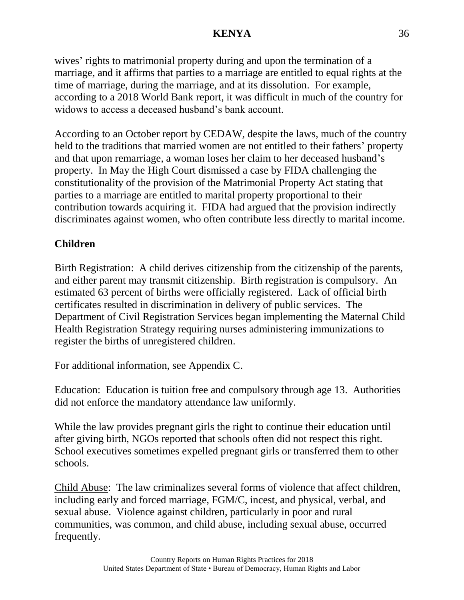wives' rights to matrimonial property during and upon the termination of a marriage, and it affirms that parties to a marriage are entitled to equal rights at the time of marriage, during the marriage, and at its dissolution. For example, according to a 2018 World Bank report, it was difficult in much of the country for widows to access a deceased husband's bank account.

According to an October report by CEDAW, despite the laws, much of the country held to the traditions that married women are not entitled to their fathers' property and that upon remarriage, a woman loses her claim to her deceased husband's property. In May the High Court dismissed a case by FIDA challenging the constitutionality of the provision of the Matrimonial Property Act stating that parties to a marriage are entitled to marital property proportional to their contribution towards acquiring it. FIDA had argued that the provision indirectly discriminates against women, who often contribute less directly to marital income.

# **Children**

Birth Registration: A child derives citizenship from the citizenship of the parents, and either parent may transmit citizenship. Birth registration is compulsory. An estimated 63 percent of births were officially registered. Lack of official birth certificates resulted in discrimination in delivery of public services. The Department of Civil Registration Services began implementing the Maternal Child Health Registration Strategy requiring nurses administering immunizations to register the births of unregistered children.

For additional information, see Appendix C.

Education: Education is tuition free and compulsory through age 13. Authorities did not enforce the mandatory attendance law uniformly.

While the law provides pregnant girls the right to continue their education until after giving birth, NGOs reported that schools often did not respect this right. School executives sometimes expelled pregnant girls or transferred them to other schools.

Child Abuse: The law criminalizes several forms of violence that affect children, including early and forced marriage, FGM/C, incest, and physical, verbal, and sexual abuse. Violence against children, particularly in poor and rural communities, was common, and child abuse, including sexual abuse, occurred frequently.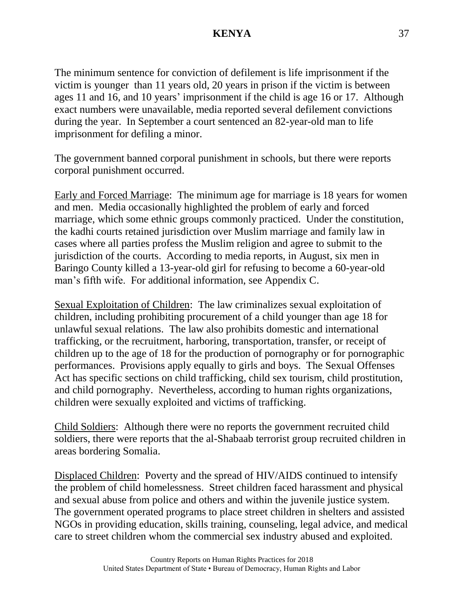The minimum sentence for conviction of defilement is life imprisonment if the victim is younger than 11 years old, 20 years in prison if the victim is between ages 11 and 16, and 10 years' imprisonment if the child is age 16 or 17. Although exact numbers were unavailable, media reported several defilement convictions during the year. In September a court sentenced an 82-year-old man to life imprisonment for defiling a minor.

The government banned corporal punishment in schools, but there were reports corporal punishment occurred.

Early and Forced Marriage: The minimum age for marriage is 18 years for women and men. Media occasionally highlighted the problem of early and forced marriage, which some ethnic groups commonly practiced. Under the constitution, the kadhi courts retained jurisdiction over Muslim marriage and family law in cases where all parties profess the Muslim religion and agree to submit to the jurisdiction of the courts. According to media reports, in August, six men in Baringo County killed a 13-year-old girl for refusing to become a 60-year-old man's fifth wife. For additional information, see Appendix C.

Sexual Exploitation of Children: The law criminalizes sexual exploitation of children, including prohibiting procurement of a child younger than age 18 for unlawful sexual relations. The law also prohibits domestic and international trafficking, or the recruitment, harboring, transportation, transfer, or receipt of children up to the age of 18 for the production of pornography or for pornographic performances. Provisions apply equally to girls and boys. The Sexual Offenses Act has specific sections on child trafficking, child sex tourism, child prostitution, and child pornography. Nevertheless, according to human rights organizations, children were sexually exploited and victims of trafficking.

Child Soldiers: Although there were no reports the government recruited child soldiers, there were reports that the al-Shabaab terrorist group recruited children in areas bordering Somalia.

Displaced Children: Poverty and the spread of HIV/AIDS continued to intensify the problem of child homelessness. Street children faced harassment and physical and sexual abuse from police and others and within the juvenile justice system. The government operated programs to place street children in shelters and assisted NGOs in providing education, skills training, counseling, legal advice, and medical care to street children whom the commercial sex industry abused and exploited.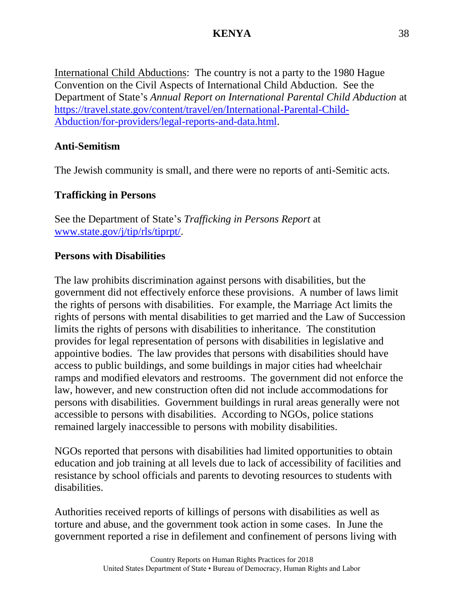International Child Abductions: The country is not a party to the 1980 Hague Convention on the Civil Aspects of International Child Abduction. See the Department of State's *Annual Report on International Parental Child Abduction* at [https://travel.state.gov/content/travel/en/International-Parental-Child-](https://travel.state.gov/content/travel/en/International-Parental-Child-Abduction/for-providers/legal-reports-and-data.html)[Abduction/for-providers/legal-reports-and-data.html.](https://travel.state.gov/content/travel/en/International-Parental-Child-Abduction/for-providers/legal-reports-and-data.html)

## **Anti-Semitism**

The Jewish community is small, and there were no reports of anti-Semitic acts.

## **Trafficking in Persons**

See the Department of State's *Trafficking in Persons Report* at [www.state.gov/j/tip/rls/tiprpt/.](http://www.state.gov/j/tip/rls/tiprpt/)

### **Persons with Disabilities**

The law prohibits discrimination against persons with disabilities, but the government did not effectively enforce these provisions. A number of laws limit the rights of persons with disabilities. For example, the Marriage Act limits the rights of persons with mental disabilities to get married and the Law of Succession limits the rights of persons with disabilities to inheritance. The constitution provides for legal representation of persons with disabilities in legislative and appointive bodies. The law provides that persons with disabilities should have access to public buildings, and some buildings in major cities had wheelchair ramps and modified elevators and restrooms. The government did not enforce the law, however, and new construction often did not include accommodations for persons with disabilities. Government buildings in rural areas generally were not accessible to persons with disabilities. According to NGOs, police stations remained largely inaccessible to persons with mobility disabilities.

NGOs reported that persons with disabilities had limited opportunities to obtain education and job training at all levels due to lack of accessibility of facilities and resistance by school officials and parents to devoting resources to students with disabilities.

Authorities received reports of killings of persons with disabilities as well as torture and abuse, and the government took action in some cases. In June the government reported a rise in defilement and confinement of persons living with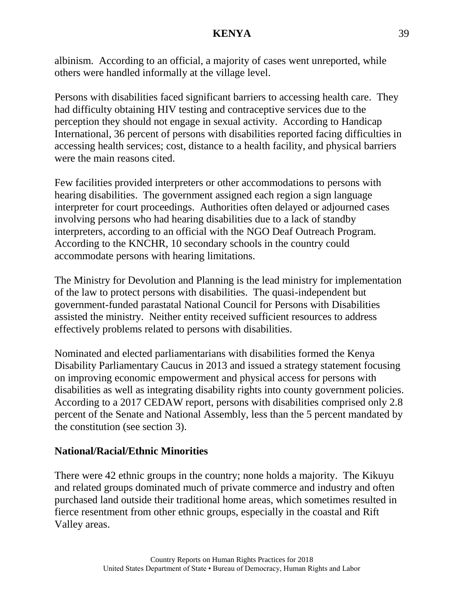albinism. According to an official, a majority of cases went unreported, while others were handled informally at the village level.

Persons with disabilities faced significant barriers to accessing health care. They had difficulty obtaining HIV testing and contraceptive services due to the perception they should not engage in sexual activity. According to Handicap International, 36 percent of persons with disabilities reported facing difficulties in accessing health services; cost, distance to a health facility, and physical barriers were the main reasons cited.

Few facilities provided interpreters or other accommodations to persons with hearing disabilities. The government assigned each region a sign language interpreter for court proceedings. Authorities often delayed or adjourned cases involving persons who had hearing disabilities due to a lack of standby interpreters, according to an official with the NGO Deaf Outreach Program. According to the KNCHR, 10 secondary schools in the country could accommodate persons with hearing limitations.

The Ministry for Devolution and Planning is the lead ministry for implementation of the law to protect persons with disabilities. The quasi-independent but government-funded parastatal National Council for Persons with Disabilities assisted the ministry. Neither entity received sufficient resources to address effectively problems related to persons with disabilities.

Nominated and elected parliamentarians with disabilities formed the Kenya Disability Parliamentary Caucus in 2013 and issued a strategy statement focusing on improving economic empowerment and physical access for persons with disabilities as well as integrating disability rights into county government policies. According to a 2017 CEDAW report, persons with disabilities comprised only 2.8 percent of the Senate and National Assembly, less than the 5 percent mandated by the constitution (see section 3).

## **National/Racial/Ethnic Minorities**

There were 42 ethnic groups in the country; none holds a majority. The Kikuyu and related groups dominated much of private commerce and industry and often purchased land outside their traditional home areas, which sometimes resulted in fierce resentment from other ethnic groups, especially in the coastal and Rift Valley areas.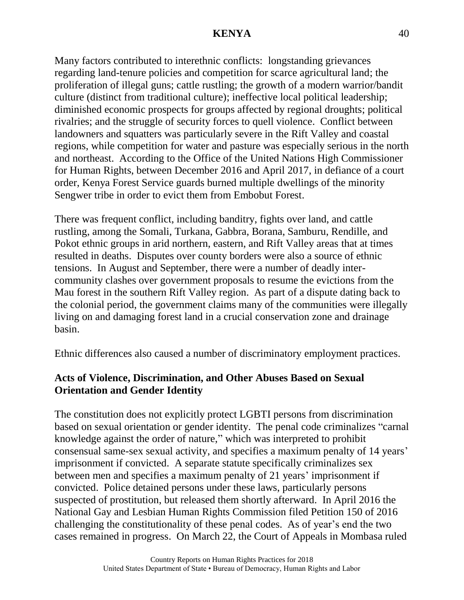Many factors contributed to interethnic conflicts: longstanding grievances regarding land-tenure policies and competition for scarce agricultural land; the proliferation of illegal guns; cattle rustling; the growth of a modern warrior/bandit culture (distinct from traditional culture); ineffective local political leadership; diminished economic prospects for groups affected by regional droughts; political rivalries; and the struggle of security forces to quell violence. Conflict between landowners and squatters was particularly severe in the Rift Valley and coastal regions, while competition for water and pasture was especially serious in the north and northeast. According to the Office of the United Nations High Commissioner for Human Rights, between December 2016 and April 2017, in defiance of a court order, Kenya Forest Service guards burned multiple dwellings of the minority Sengwer tribe in order to evict them from Embobut Forest.

There was frequent conflict, including banditry, fights over land, and cattle rustling, among the Somali, Turkana, Gabbra, Borana, Samburu, Rendille, and Pokot ethnic groups in arid northern, eastern, and Rift Valley areas that at times resulted in deaths. Disputes over county borders were also a source of ethnic tensions. In August and September, there were a number of deadly intercommunity clashes over government proposals to resume the evictions from the Mau forest in the southern Rift Valley region. As part of a dispute dating back to the colonial period, the government claims many of the communities were illegally living on and damaging forest land in a crucial conservation zone and drainage basin.

Ethnic differences also caused a number of discriminatory employment practices.

# **Acts of Violence, Discrimination, and Other Abuses Based on Sexual Orientation and Gender Identity**

The constitution does not explicitly protect LGBTI persons from discrimination based on sexual orientation or gender identity. The penal code criminalizes "carnal knowledge against the order of nature," which was interpreted to prohibit consensual same-sex sexual activity, and specifies a maximum penalty of 14 years' imprisonment if convicted. A separate statute specifically criminalizes sex between men and specifies a maximum penalty of 21 years' imprisonment if convicted. Police detained persons under these laws, particularly persons suspected of prostitution, but released them shortly afterward. In April 2016 the National Gay and Lesbian Human Rights Commission filed Petition 150 of 2016 challenging the constitutionality of these penal codes. As of year's end the two cases remained in progress. On March 22, the Court of Appeals in Mombasa ruled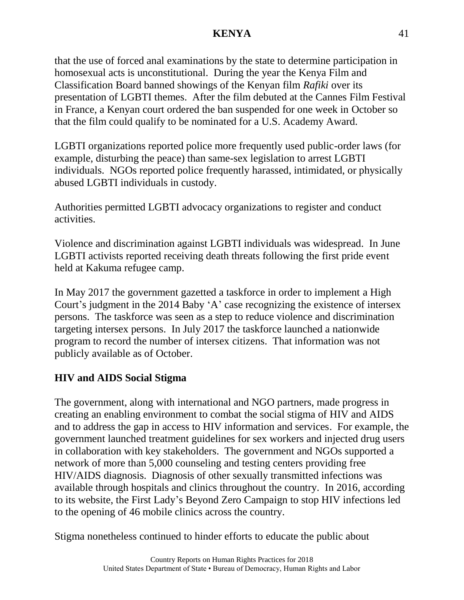that the use of forced anal examinations by the state to determine participation in homosexual acts is unconstitutional. During the year the Kenya Film and Classification Board banned showings of the Kenyan film *Rafiki* over its presentation of LGBTI themes. After the film debuted at the Cannes Film Festival in France, a Kenyan court ordered the ban suspended for one week in October so that the film could qualify to be nominated for a U.S. Academy Award.

LGBTI organizations reported police more frequently used public-order laws (for example, disturbing the peace) than same-sex legislation to arrest LGBTI individuals. NGOs reported police frequently harassed, intimidated, or physically abused LGBTI individuals in custody.

Authorities permitted LGBTI advocacy organizations to register and conduct activities.

Violence and discrimination against LGBTI individuals was widespread. In June LGBTI activists reported receiving death threats following the first pride event held at Kakuma refugee camp.

In May 2017 the government gazetted a taskforce in order to implement a High Court's judgment in the 2014 Baby 'A' case recognizing the existence of intersex persons. The taskforce was seen as a step to reduce violence and discrimination targeting intersex persons. In July 2017 the taskforce launched a nationwide program to record the number of intersex citizens. That information was not publicly available as of October.

# **HIV and AIDS Social Stigma**

The government, along with international and NGO partners, made progress in creating an enabling environment to combat the social stigma of HIV and AIDS and to address the gap in access to HIV information and services. For example, the government launched treatment guidelines for sex workers and injected drug users in collaboration with key stakeholders. The government and NGOs supported a network of more than 5,000 counseling and testing centers providing free HIV/AIDS diagnosis. Diagnosis of other sexually transmitted infections was available through hospitals and clinics throughout the country. In 2016, according to its website, the First Lady's Beyond Zero Campaign to stop HIV infections led to the opening of 46 mobile clinics across the country.

Stigma nonetheless continued to hinder efforts to educate the public about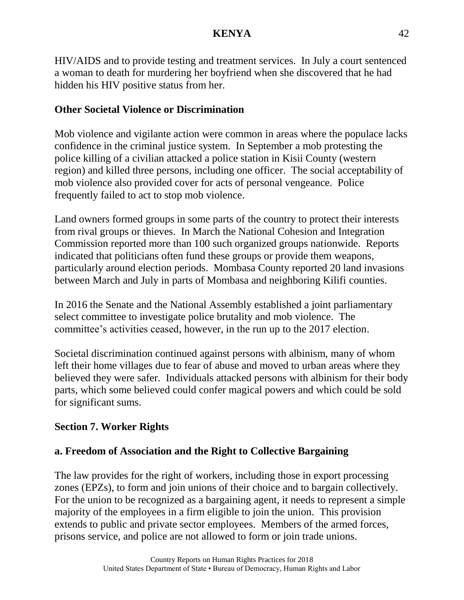HIV/AIDS and to provide testing and treatment services. In July a court sentenced a woman to death for murdering her boyfriend when she discovered that he had hidden his HIV positive status from her.

## **Other Societal Violence or Discrimination**

Mob violence and vigilante action were common in areas where the populace lacks confidence in the criminal justice system. In September a mob protesting the police killing of a civilian attacked a police station in Kisii County (western region) and killed three persons, including one officer. The social acceptability of mob violence also provided cover for acts of personal vengeance. Police frequently failed to act to stop mob violence.

Land owners formed groups in some parts of the country to protect their interests from rival groups or thieves. In March the National Cohesion and Integration Commission reported more than 100 such organized groups nationwide. Reports indicated that politicians often fund these groups or provide them weapons, particularly around election periods. Mombasa County reported 20 land invasions between March and July in parts of Mombasa and neighboring Kilifi counties.

In 2016 the Senate and the National Assembly established a joint parliamentary select committee to investigate police brutality and mob violence. The committee's activities ceased, however, in the run up to the 2017 election.

Societal discrimination continued against persons with albinism, many of whom left their home villages due to fear of abuse and moved to urban areas where they believed they were safer. Individuals attacked persons with albinism for their body parts, which some believed could confer magical powers and which could be sold for significant sums.

# **Section 7. Worker Rights**

# **a. Freedom of Association and the Right to Collective Bargaining**

The law provides for the right of workers, including those in export processing zones (EPZs), to form and join unions of their choice and to bargain collectively. For the union to be recognized as a bargaining agent, it needs to represent a simple majority of the employees in a firm eligible to join the union. This provision extends to public and private sector employees. Members of the armed forces, prisons service, and police are not allowed to form or join trade unions.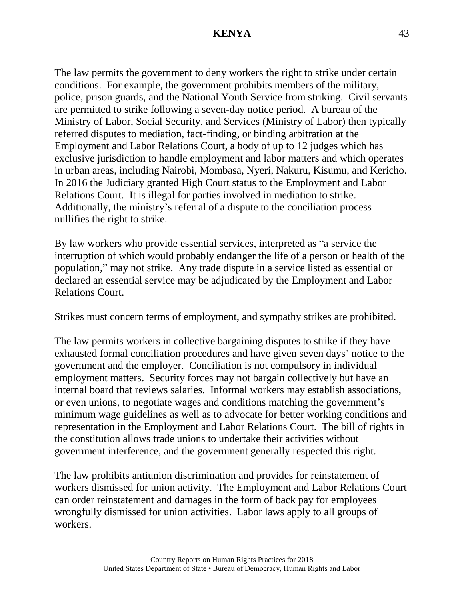The law permits the government to deny workers the right to strike under certain conditions. For example, the government prohibits members of the military, police, prison guards, and the National Youth Service from striking. Civil servants are permitted to strike following a seven-day notice period. A bureau of the Ministry of Labor, Social Security, and Services (Ministry of Labor) then typically referred disputes to mediation, fact-finding, or binding arbitration at the Employment and Labor Relations Court, a body of up to 12 judges which has exclusive jurisdiction to handle employment and labor matters and which operates in urban areas, including Nairobi, Mombasa, Nyeri, Nakuru, Kisumu, and Kericho. In 2016 the Judiciary granted High Court status to the Employment and Labor Relations Court. It is illegal for parties involved in mediation to strike. Additionally, the ministry's referral of a dispute to the conciliation process nullifies the right to strike.

By law workers who provide essential services, interpreted as "a service the interruption of which would probably endanger the life of a person or health of the population," may not strike. Any trade dispute in a service listed as essential or declared an essential service may be adjudicated by the Employment and Labor Relations Court.

Strikes must concern terms of employment, and sympathy strikes are prohibited.

The law permits workers in collective bargaining disputes to strike if they have exhausted formal conciliation procedures and have given seven days' notice to the government and the employer. Conciliation is not compulsory in individual employment matters. Security forces may not bargain collectively but have an internal board that reviews salaries. Informal workers may establish associations, or even unions, to negotiate wages and conditions matching the government's minimum wage guidelines as well as to advocate for better working conditions and representation in the Employment and Labor Relations Court. The bill of rights in the constitution allows trade unions to undertake their activities without government interference, and the government generally respected this right.

The law prohibits antiunion discrimination and provides for reinstatement of workers dismissed for union activity. The Employment and Labor Relations Court can order reinstatement and damages in the form of back pay for employees wrongfully dismissed for union activities. Labor laws apply to all groups of workers.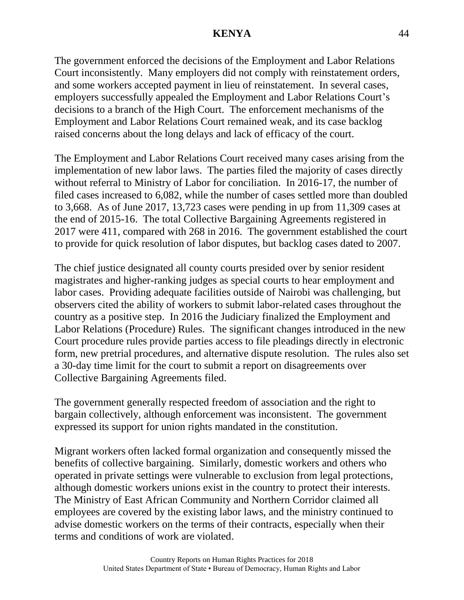The government enforced the decisions of the Employment and Labor Relations Court inconsistently. Many employers did not comply with reinstatement orders, and some workers accepted payment in lieu of reinstatement. In several cases, employers successfully appealed the Employment and Labor Relations Court's decisions to a branch of the High Court. The enforcement mechanisms of the Employment and Labor Relations Court remained weak, and its case backlog raised concerns about the long delays and lack of efficacy of the court.

The Employment and Labor Relations Court received many cases arising from the implementation of new labor laws. The parties filed the majority of cases directly without referral to Ministry of Labor for conciliation. In 2016-17, the number of filed cases increased to 6,082, while the number of cases settled more than doubled to 3,668. As of June 2017, 13,723 cases were pending in up from 11,309 cases at the end of 2015-16. The total Collective Bargaining Agreements registered in 2017 were 411, compared with 268 in 2016. The government established the court to provide for quick resolution of labor disputes, but backlog cases dated to 2007.

The chief justice designated all county courts presided over by senior resident magistrates and higher-ranking judges as special courts to hear employment and labor cases. Providing adequate facilities outside of Nairobi was challenging, but observers cited the ability of workers to submit labor-related cases throughout the country as a positive step. In 2016 the Judiciary finalized the Employment and Labor Relations (Procedure) Rules. The significant changes introduced in the new Court procedure rules provide parties access to file pleadings directly in electronic form, new pretrial procedures, and alternative dispute resolution. The rules also set a 30-day time limit for the court to submit a report on disagreements over Collective Bargaining Agreements filed.

The government generally respected freedom of association and the right to bargain collectively, although enforcement was inconsistent. The government expressed its support for union rights mandated in the constitution.

Migrant workers often lacked formal organization and consequently missed the benefits of collective bargaining. Similarly, domestic workers and others who operated in private settings were vulnerable to exclusion from legal protections, although domestic workers unions exist in the country to protect their interests. The Ministry of East African Community and Northern Corridor claimed all employees are covered by the existing labor laws, and the ministry continued to advise domestic workers on the terms of their contracts, especially when their terms and conditions of work are violated.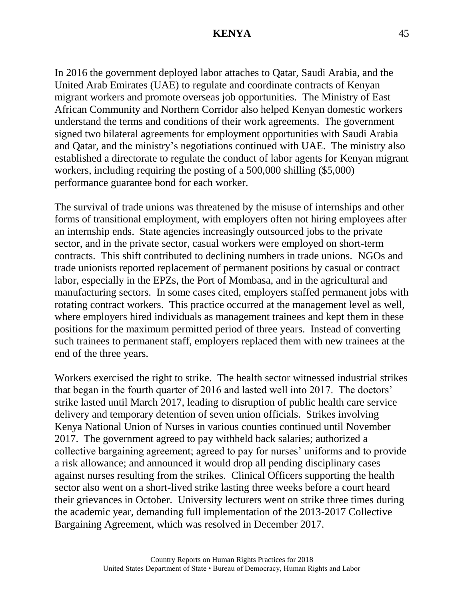In 2016 the government deployed labor attaches to Qatar, Saudi Arabia, and the United Arab Emirates (UAE) to regulate and coordinate contracts of Kenyan migrant workers and promote overseas job opportunities. The Ministry of East African Community and Northern Corridor also helped Kenyan domestic workers understand the terms and conditions of their work agreements. The government signed two bilateral agreements for employment opportunities with Saudi Arabia and Qatar, and the ministry's negotiations continued with UAE. The ministry also established a directorate to regulate the conduct of labor agents for Kenyan migrant workers, including requiring the posting of a 500,000 shilling (\$5,000) performance guarantee bond for each worker.

The survival of trade unions was threatened by the misuse of internships and other forms of transitional employment, with employers often not hiring employees after an internship ends. State agencies increasingly outsourced jobs to the private sector, and in the private sector, casual workers were employed on short-term contracts. This shift contributed to declining numbers in trade unions. NGOs and trade unionists reported replacement of permanent positions by casual or contract labor, especially in the EPZs, the Port of Mombasa, and in the agricultural and manufacturing sectors. In some cases cited, employers staffed permanent jobs with rotating contract workers. This practice occurred at the management level as well, where employers hired individuals as management trainees and kept them in these positions for the maximum permitted period of three years. Instead of converting such trainees to permanent staff, employers replaced them with new trainees at the end of the three years.

Workers exercised the right to strike. The health sector witnessed industrial strikes that began in the fourth quarter of 2016 and lasted well into 2017. The doctors' strike lasted until March 2017, leading to disruption of public health care service delivery and temporary detention of seven union officials. Strikes involving Kenya National Union of Nurses in various counties continued until November 2017. The government agreed to pay withheld back salaries; authorized a collective bargaining agreement; agreed to pay for nurses' uniforms and to provide a risk allowance; and announced it would drop all pending disciplinary cases against nurses resulting from the strikes. Clinical Officers supporting the health sector also went on a short-lived strike lasting three weeks before a court heard their grievances in October. University lecturers went on strike three times during the academic year, demanding full implementation of the 2013-2017 Collective Bargaining Agreement, which was resolved in December 2017.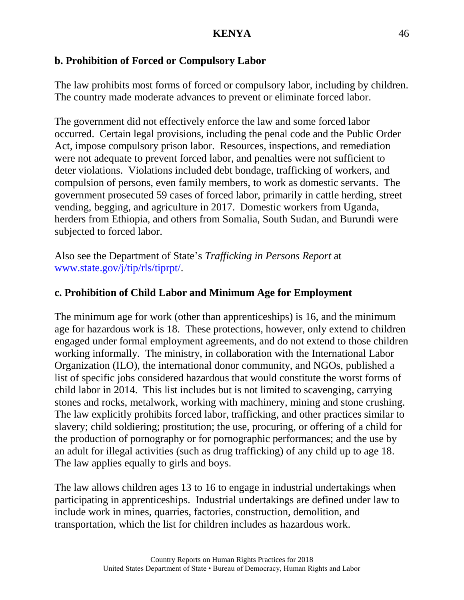# **b. Prohibition of Forced or Compulsory Labor**

The law prohibits most forms of forced or compulsory labor, including by children. The country made moderate advances to prevent or eliminate forced labor.

The government did not effectively enforce the law and some forced labor occurred. Certain legal provisions, including the penal code and the Public Order Act, impose compulsory prison labor. Resources, inspections, and remediation were not adequate to prevent forced labor, and penalties were not sufficient to deter violations. Violations included debt bondage, trafficking of workers, and compulsion of persons, even family members, to work as domestic servants. The government prosecuted 59 cases of forced labor, primarily in cattle herding, street vending, begging, and agriculture in 2017. Domestic workers from Uganda, herders from Ethiopia, and others from Somalia, South Sudan, and Burundi were subjected to forced labor.

Also see the Department of State's *Trafficking in Persons Report* at [www.state.gov/j/tip/rls/tiprpt/.](http://www.state.gov/j/tip/rls/tiprpt/)

# **c. Prohibition of Child Labor and Minimum Age for Employment**

The minimum age for work (other than apprenticeships) is 16, and the minimum age for hazardous work is 18. These protections, however, only extend to children engaged under formal employment agreements, and do not extend to those children working informally. The ministry, in collaboration with the International Labor Organization (ILO), the international donor community, and NGOs, published a list of specific jobs considered hazardous that would constitute the worst forms of child labor in 2014. This list includes but is not limited to scavenging, carrying stones and rocks, metalwork, working with machinery, mining and stone crushing. The law explicitly prohibits forced labor, trafficking, and other practices similar to slavery; child soldiering; prostitution; the use, procuring, or offering of a child for the production of pornography or for pornographic performances; and the use by an adult for illegal activities (such as drug trafficking) of any child up to age 18. The law applies equally to girls and boys.

The law allows children ages 13 to 16 to engage in industrial undertakings when participating in apprenticeships. Industrial undertakings are defined under law to include work in mines, quarries, factories, construction, demolition, and transportation, which the list for children includes as hazardous work.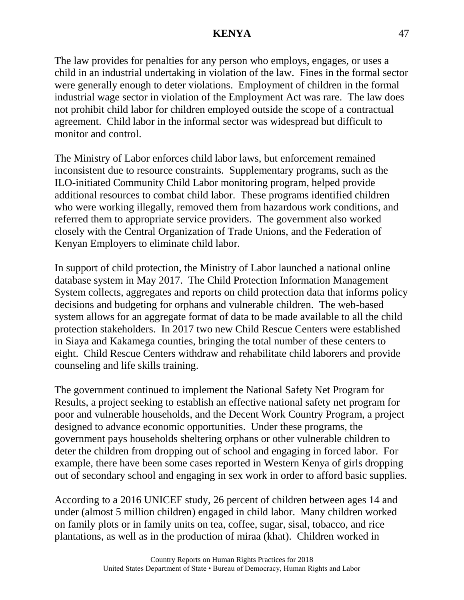The law provides for penalties for any person who employs, engages, or uses a child in an industrial undertaking in violation of the law. Fines in the formal sector were generally enough to deter violations. Employment of children in the formal industrial wage sector in violation of the Employment Act was rare. The law does not prohibit child labor for children employed outside the scope of a contractual agreement. Child labor in the informal sector was widespread but difficult to monitor and control.

The Ministry of Labor enforces child labor laws, but enforcement remained inconsistent due to resource constraints. Supplementary programs, such as the ILO-initiated Community Child Labor monitoring program, helped provide additional resources to combat child labor. These programs identified children who were working illegally, removed them from hazardous work conditions, and referred them to appropriate service providers. The government also worked closely with the Central Organization of Trade Unions, and the Federation of Kenyan Employers to eliminate child labor.

In support of child protection, the Ministry of Labor launched a national online database system in May 2017. The Child Protection Information Management System collects, aggregates and reports on child protection data that informs policy decisions and budgeting for orphans and vulnerable children. The web-based system allows for an aggregate format of data to be made available to all the child protection stakeholders. In 2017 two new Child Rescue Centers were established in Siaya and Kakamega counties, bringing the total number of these centers to eight. Child Rescue Centers withdraw and rehabilitate child laborers and provide counseling and life skills training.

The government continued to implement the National Safety Net Program for Results, a project seeking to establish an effective national safety net program for poor and vulnerable households, and the Decent Work Country Program, a project designed to advance economic opportunities. Under these programs, the government pays households sheltering orphans or other vulnerable children to deter the children from dropping out of school and engaging in forced labor. For example, there have been some cases reported in Western Kenya of girls dropping out of secondary school and engaging in sex work in order to afford basic supplies.

According to a 2016 UNICEF study, 26 percent of children between ages 14 and under (almost 5 million children) engaged in child labor. Many children worked on family plots or in family units on tea, coffee, sugar, sisal, tobacco, and rice plantations, as well as in the production of miraa (khat). Children worked in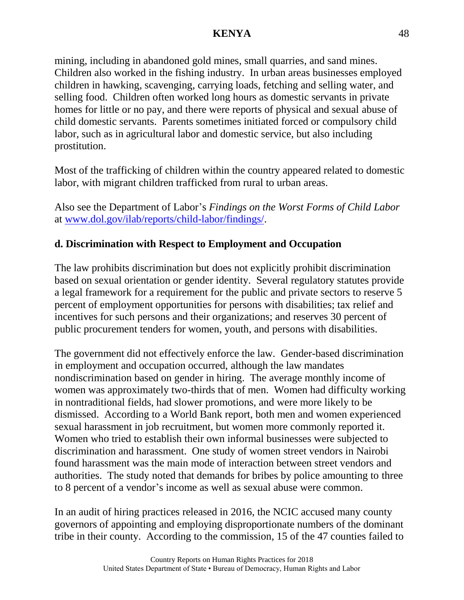mining, including in abandoned gold mines, small quarries, and sand mines. Children also worked in the fishing industry. In urban areas businesses employed children in hawking, scavenging, carrying loads, fetching and selling water, and selling food. Children often worked long hours as domestic servants in private homes for little or no pay, and there were reports of physical and sexual abuse of child domestic servants. Parents sometimes initiated forced or compulsory child labor, such as in agricultural labor and domestic service, but also including prostitution.

Most of the trafficking of children within the country appeared related to domestic labor, with migrant children trafficked from rural to urban areas.

Also see the Department of Labor's *Findings on the Worst Forms of Child Labor* at [www.dol.gov/ilab/reports/child-labor/findings/.](http://www.dol.gov/ilab/reports/child-labor/findings/)

# **d. Discrimination with Respect to Employment and Occupation**

The law prohibits discrimination but does not explicitly prohibit discrimination based on sexual orientation or gender identity. Several regulatory statutes provide a legal framework for a requirement for the public and private sectors to reserve 5 percent of employment opportunities for persons with disabilities; tax relief and incentives for such persons and their organizations; and reserves 30 percent of public procurement tenders for women, youth, and persons with disabilities.

The government did not effectively enforce the law. Gender-based discrimination in employment and occupation occurred, although the law mandates nondiscrimination based on gender in hiring. The average monthly income of women was approximately two-thirds that of men. Women had difficulty working in nontraditional fields, had slower promotions, and were more likely to be dismissed. According to a World Bank report, both men and women experienced sexual harassment in job recruitment, but women more commonly reported it. Women who tried to establish their own informal businesses were subjected to discrimination and harassment. One study of women street vendors in Nairobi found harassment was the main mode of interaction between street vendors and authorities. The study noted that demands for bribes by police amounting to three to 8 percent of a vendor's income as well as sexual abuse were common.

In an audit of hiring practices released in 2016, the NCIC accused many county governors of appointing and employing disproportionate numbers of the dominant tribe in their county. According to the commission, 15 of the 47 counties failed to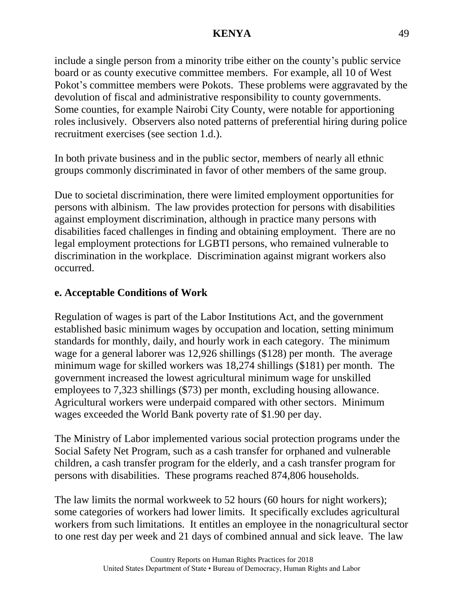include a single person from a minority tribe either on the county's public service board or as county executive committee members. For example, all 10 of West Pokot's committee members were Pokots. These problems were aggravated by the devolution of fiscal and administrative responsibility to county governments. Some counties, for example Nairobi City County, were notable for apportioning roles inclusively. Observers also noted patterns of preferential hiring during police recruitment exercises (see section 1.d.).

In both private business and in the public sector, members of nearly all ethnic groups commonly discriminated in favor of other members of the same group.

Due to societal discrimination, there were limited employment opportunities for persons with albinism. The law provides protection for persons with disabilities against employment discrimination, although in practice many persons with disabilities faced challenges in finding and obtaining employment. There are no legal employment protections for LGBTI persons, who remained vulnerable to discrimination in the workplace. Discrimination against migrant workers also occurred.

## **e. Acceptable Conditions of Work**

Regulation of wages is part of the Labor Institutions Act, and the government established basic minimum wages by occupation and location, setting minimum standards for monthly, daily, and hourly work in each category. The minimum wage for a general laborer was 12,926 shillings (\$128) per month. The average minimum wage for skilled workers was 18,274 shillings (\$181) per month. The government increased the lowest agricultural minimum wage for unskilled employees to 7,323 shillings (\$73) per month, excluding housing allowance. Agricultural workers were underpaid compared with other sectors. Minimum wages exceeded the World Bank poverty rate of \$1.90 per day.

The Ministry of Labor implemented various social protection programs under the Social Safety Net Program, such as a cash transfer for orphaned and vulnerable children, a cash transfer program for the elderly, and a cash transfer program for persons with disabilities. These programs reached 874,806 households.

The law limits the normal workweek to 52 hours (60 hours for night workers); some categories of workers had lower limits. It specifically excludes agricultural workers from such limitations. It entitles an employee in the nonagricultural sector to one rest day per week and 21 days of combined annual and sick leave. The law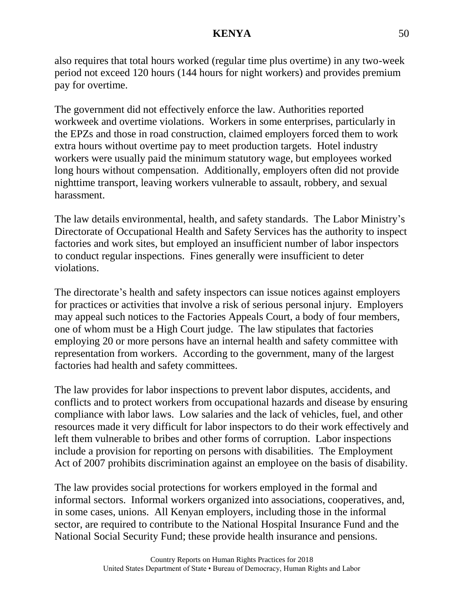also requires that total hours worked (regular time plus overtime) in any two-week period not exceed 120 hours (144 hours for night workers) and provides premium pay for overtime.

The government did not effectively enforce the law. Authorities reported workweek and overtime violations. Workers in some enterprises, particularly in the EPZs and those in road construction, claimed employers forced them to work extra hours without overtime pay to meet production targets. Hotel industry workers were usually paid the minimum statutory wage, but employees worked long hours without compensation. Additionally, employers often did not provide nighttime transport, leaving workers vulnerable to assault, robbery, and sexual harassment.

The law details environmental, health, and safety standards. The Labor Ministry's Directorate of Occupational Health and Safety Services has the authority to inspect factories and work sites, but employed an insufficient number of labor inspectors to conduct regular inspections. Fines generally were insufficient to deter violations.

The directorate's health and safety inspectors can issue notices against employers for practices or activities that involve a risk of serious personal injury. Employers may appeal such notices to the Factories Appeals Court, a body of four members, one of whom must be a High Court judge. The law stipulates that factories employing 20 or more persons have an internal health and safety committee with representation from workers. According to the government, many of the largest factories had health and safety committees.

The law provides for labor inspections to prevent labor disputes, accidents, and conflicts and to protect workers from occupational hazards and disease by ensuring compliance with labor laws. Low salaries and the lack of vehicles, fuel, and other resources made it very difficult for labor inspectors to do their work effectively and left them vulnerable to bribes and other forms of corruption. Labor inspections include a provision for reporting on persons with disabilities. The Employment Act of 2007 prohibits discrimination against an employee on the basis of disability.

The law provides social protections for workers employed in the formal and informal sectors. Informal workers organized into associations, cooperatives, and, in some cases, unions. All Kenyan employers, including those in the informal sector, are required to contribute to the National Hospital Insurance Fund and the National Social Security Fund; these provide health insurance and pensions.